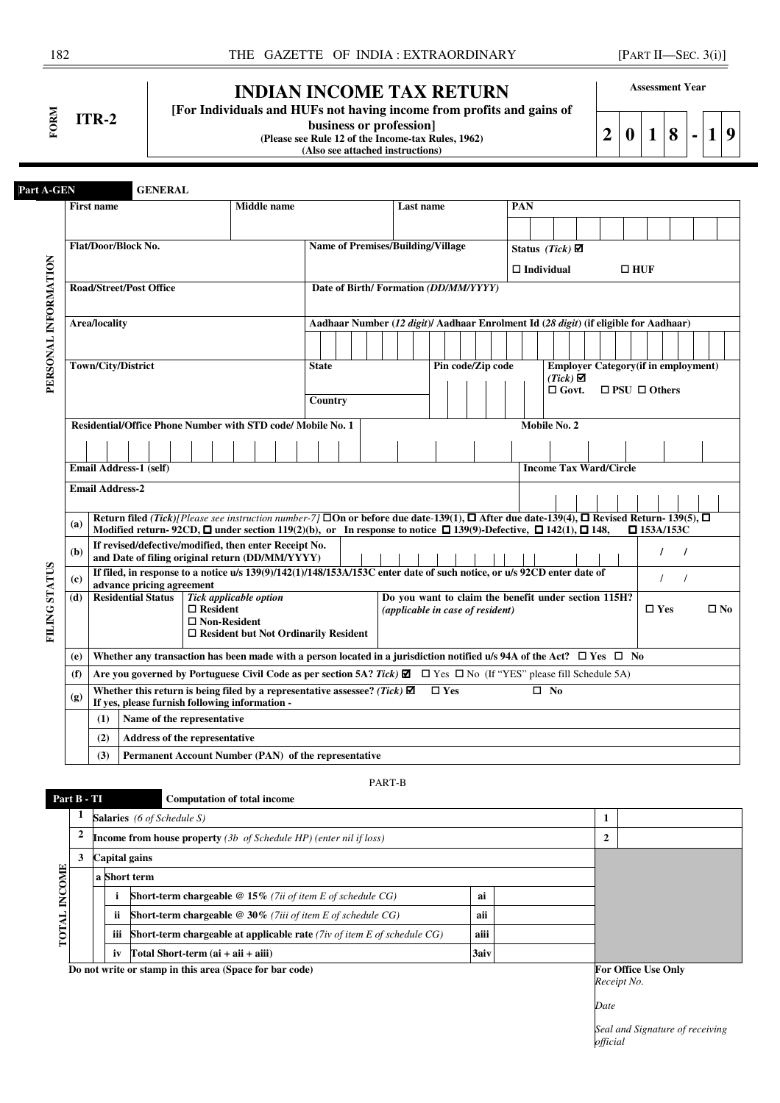**FORM ITR-2** 

# **INDIAN INCOME TAX RETURN**

**business or profession]** 

**[For Individuals and HUFs not having income from profits and gains of** 

**Assessment Year** 

**2 0 1 8 - 1 9**

**(Please see Rule 12 of the Income-tax Rules, 1962) (Also see attached instructions)** 

| Part A-GEN           |     |                                                             |                                                                                                                                                                          | <b>GENERAL</b> |  |                                        |  |                    |                                                      |         |  |                                                                                      |           |                   |  |     |                               |                 |  |                          |            |                                             |              |
|----------------------|-----|-------------------------------------------------------------|--------------------------------------------------------------------------------------------------------------------------------------------------------------------------|----------------|--|----------------------------------------|--|--------------------|------------------------------------------------------|---------|--|--------------------------------------------------------------------------------------|-----------|-------------------|--|-----|-------------------------------|-----------------|--|--------------------------|------------|---------------------------------------------|--------------|
|                      |     | <b>First name</b>                                           |                                                                                                                                                                          |                |  |                                        |  | <b>Middle</b> name |                                                      |         |  |                                                                                      | Last name |                   |  | PAN |                               |                 |  |                          |            |                                             |              |
|                      |     |                                                             |                                                                                                                                                                          |                |  |                                        |  |                    |                                                      |         |  |                                                                                      |           |                   |  |     |                               |                 |  |                          |            |                                             |              |
|                      |     | Flat/Door/Block No.                                         |                                                                                                                                                                          |                |  |                                        |  |                    |                                                      |         |  | <b>Name of Premises/Building/Village</b>                                             |           |                   |  |     | Status (Tick) $\boxtimes$     |                 |  |                          |            |                                             |              |
|                      |     |                                                             |                                                                                                                                                                          |                |  |                                        |  |                    |                                                      |         |  |                                                                                      |           |                   |  |     | $\Box$ Individual             |                 |  | $\square$ HUF            |            |                                             |              |
| PERSONAL INFORMATION |     | <b>Road/Street/Post Office</b>                              |                                                                                                                                                                          |                |  |                                        |  |                    |                                                      |         |  | Date of Birth/Formation (DD/MM/YYYY)                                                 |           |                   |  |     |                               |                 |  |                          |            |                                             |              |
|                      |     |                                                             |                                                                                                                                                                          |                |  |                                        |  |                    |                                                      |         |  |                                                                                      |           |                   |  |     |                               |                 |  |                          |            |                                             |              |
|                      |     | Area/locality                                               |                                                                                                                                                                          |                |  |                                        |  |                    |                                                      |         |  | Aadhaar Number (12 digit)/ Aadhaar Enrolment Id (28 digit) (if eligible for Aadhaar) |           |                   |  |     |                               |                 |  |                          |            |                                             |              |
|                      |     |                                                             |                                                                                                                                                                          |                |  |                                        |  |                    |                                                      |         |  |                                                                                      |           |                   |  |     |                               |                 |  |                          |            |                                             |              |
|                      |     | Town/City/District                                          |                                                                                                                                                                          |                |  |                                        |  |                    | <b>State</b>                                         |         |  |                                                                                      |           | Pin code/Zip code |  |     |                               | $(Tick)$ $\Box$ |  |                          |            | <b>Employer Category</b> (if in employment) |              |
|                      |     |                                                             |                                                                                                                                                                          |                |  |                                        |  |                    |                                                      |         |  |                                                                                      |           |                   |  |     |                               | $\Box$ Govt.    |  | $\Box$ PSU $\Box$ Others |            |                                             |              |
|                      |     |                                                             |                                                                                                                                                                          |                |  |                                        |  |                    |                                                      | Country |  |                                                                                      |           |                   |  |     |                               |                 |  |                          |            |                                             |              |
|                      |     | Residential/Office Phone Number with STD code/ Mobile No. 1 |                                                                                                                                                                          |                |  |                                        |  |                    |                                                      |         |  |                                                                                      |           |                   |  |     | Mobile No. 2                  |                 |  |                          |            |                                             |              |
|                      |     |                                                             |                                                                                                                                                                          |                |  |                                        |  |                    |                                                      |         |  |                                                                                      |           |                   |  |     |                               |                 |  |                          |            |                                             |              |
|                      |     | Email Address-1 (self)                                      |                                                                                                                                                                          |                |  |                                        |  |                    |                                                      |         |  |                                                                                      |           |                   |  |     | <b>Income Tax Ward/Circle</b> |                 |  |                          |            |                                             |              |
|                      |     | <b>Email Address-2</b>                                      |                                                                                                                                                                          |                |  |                                        |  |                    |                                                      |         |  |                                                                                      |           |                   |  |     |                               |                 |  |                          |            |                                             |              |
|                      |     |                                                             | Return filed (Tick)/Please see instruction number-7/ $\square$ On or before due date-139(1), $\square$ After due date-139(4), $\square$ Revised Return-139(5), $\square$ |                |  |                                        |  |                    |                                                      |         |  |                                                                                      |           |                   |  |     |                               |                 |  |                          |            |                                             |              |
|                      | (a) |                                                             | Modified return-92CD, $\Box$ under section 119(2)(b), or In response to notice $\Box$ 139(9)-Defective, $\Box$ 142(1), $\Box$ 148,                                       |                |  |                                        |  |                    |                                                      |         |  |                                                                                      |           |                   |  |     |                               |                 |  | $\square$ 153A/153C      |            |                                             |              |
|                      | (b) |                                                             | If revised/defective/modified, then enter Receipt No.<br>and Date of filing original return (DD/MM/YYYY)                                                                 |                |  |                                        |  |                    |                                                      |         |  |                                                                                      |           |                   |  |     |                               |                 |  |                          | $\prime$   | $\prime$                                    |              |
|                      | (c) |                                                             | If filed, in response to a notice u/s 139(9)/142(1)/148/153A/153C enter date of such notice, or u/s 92CD enter date of                                                   |                |  |                                        |  |                    |                                                      |         |  |                                                                                      |           |                   |  |     |                               |                 |  |                          | $\prime$   | $\prime$                                    |              |
|                      | (d) |                                                             | advance pricing agreement<br><b>Residential Status</b>                                                                                                                   |                |  | Tick applicable option                 |  |                    |                                                      |         |  | Do you want to claim the benefit under section 115H?                                 |           |                   |  |     |                               |                 |  |                          |            |                                             |              |
| <b>FILING STATUS</b> |     |                                                             |                                                                                                                                                                          |                |  | $\Box$ Resident<br>$\Box$ Non-Resident |  |                    |                                                      |         |  | (applicable in case of resident)                                                     |           |                   |  |     |                               |                 |  |                          | $\Box$ Yes |                                             | $\square$ No |
|                      |     |                                                             |                                                                                                                                                                          |                |  |                                        |  |                    | $\Box$ Resident but Not Ordinarily Resident          |         |  |                                                                                      |           |                   |  |     |                               |                 |  |                          |            |                                             |              |
|                      | (e) |                                                             | Whether any transaction has been made with a person located in a jurisdiction notified u/s 94A of the Act? $\Box$ Yes $\Box$ No                                          |                |  |                                        |  |                    |                                                      |         |  |                                                                                      |           |                   |  |     |                               |                 |  |                          |            |                                             |              |
|                      | (f) |                                                             | Are you governed by Portuguese Civil Code as per section 5A? Tick) $\Box$ $\Box$ Yes $\Box$ No (If "YES" please fill Schedule 5A)                                        |                |  |                                        |  |                    |                                                      |         |  |                                                                                      |           |                   |  |     |                               |                 |  |                          |            |                                             |              |
|                      | (g) |                                                             | Whether this return is being filed by a representative assessee? (Tick) $\boxtimes$<br>If yes, please furnish following information -                                    |                |  |                                        |  |                    |                                                      |         |  |                                                                                      |           | $\Box$ Yes        |  |     | $\square$ No                  |                 |  |                          |            |                                             |              |
|                      |     | (1)                                                         | Name of the representative                                                                                                                                               |                |  |                                        |  |                    |                                                      |         |  |                                                                                      |           |                   |  |     |                               |                 |  |                          |            |                                             |              |
|                      |     | (2)                                                         | Address of the representative                                                                                                                                            |                |  |                                        |  |                    |                                                      |         |  |                                                                                      |           |                   |  |     |                               |                 |  |                          |            |                                             |              |
|                      |     | (3)                                                         |                                                                                                                                                                          |                |  |                                        |  |                    | Permanent Account Number (PAN) of the representative |         |  |                                                                                      |           |                   |  |     |                               |                 |  |                          |            |                                             |              |
|                      |     |                                                             |                                                                                                                                                                          |                |  |                                        |  |                    |                                                      |         |  |                                                                                      |           |                   |  |     |                               |                 |  |                          |            |                                             |              |

PART-B

**1 Salaries** *(6 of Schedule S)* **1 2 Income from house property** *(3b of Schedule HP) (enter nil if loss)* **2 3 Capital gains**  TOTAL INCOME **TOTAL INCOME a Short term i Short-term chargeable @ 15%** *(7ii of item E of schedule CG)* **ai ii Short-term chargeable @ 30%** *(7iii of item E of schedule CG)* **aii iii Short-term chargeable at applicable rate** *(7iv of item E of schedule CG)* **aiii**  $iv$   $Total Short-term (ai + aii + aiii)$   $3aiv$ *Do not write or stamp in this area (Space for bar code)* **<b>For Office Use Only For Office Use Only** 

 **Part B - TI Computation of total income** 

*Receipt No.*

*Date*

*Seal and Signature of receiving official*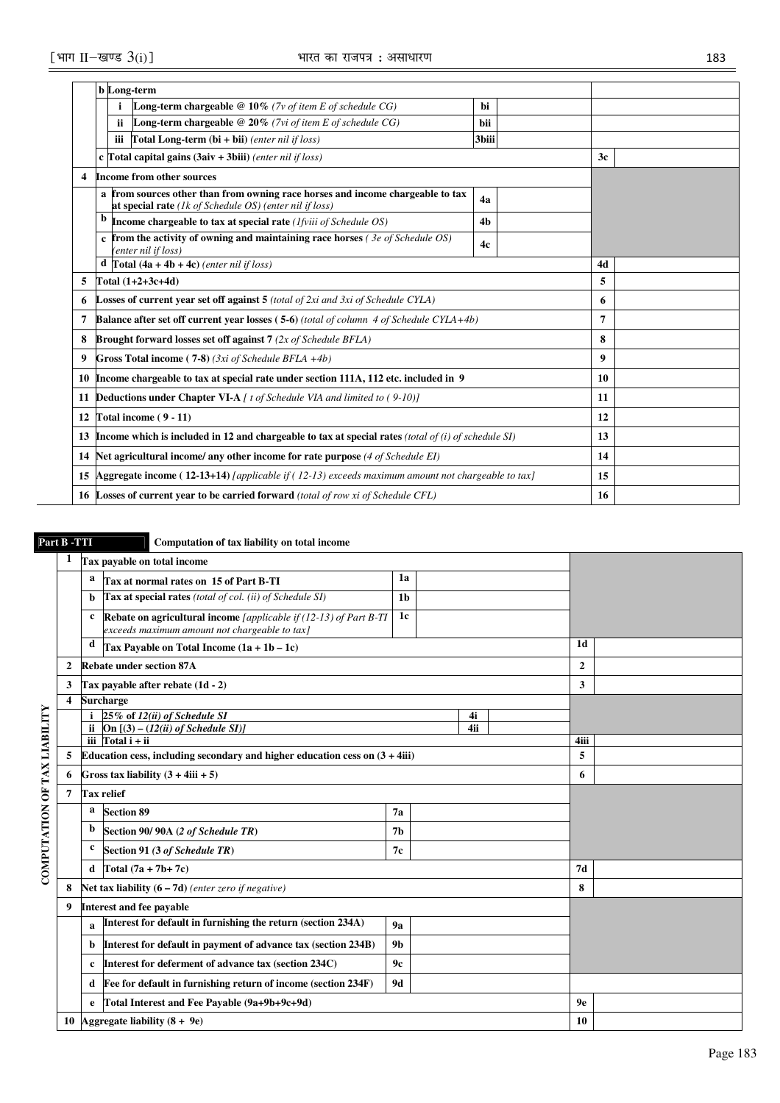|    | <b>b</b> Long-term                                                                                                                        |                |                  |  |
|----|-------------------------------------------------------------------------------------------------------------------------------------------|----------------|------------------|--|
|    | Long-term chargeable $@10\%$ (7v of item E of schedule CG)                                                                                | hi             |                  |  |
|    | <b>Long-term chargeable @ 20%</b> (7vi of item E of schedule CG)<br>ii.                                                                   | bii            |                  |  |
|    | iii<br><b>Total Long-term (bi + bii)</b> (enter nil if $loss$ )                                                                           | 3biii          |                  |  |
|    | c Total capital gains $(3$ aiv + 3biii) (enter nil if loss)                                                                               |                | 3 <sub>c</sub>   |  |
| 4  | Income from other sources                                                                                                                 |                |                  |  |
|    | a from sources other than from owning race horses and income chargeable to tax<br>at special rate (1k of Schedule OS) (enter nil if loss) | 4a             |                  |  |
|    | Income chargeable to tax at special rate ( <i>Ifviii of Schedule OS</i> )                                                                 | 4 <sub>b</sub> |                  |  |
|    | $c$ from the activity of owning and maintaining race horses (3e of Schedule OS)<br>(enter nil if loss)                                    | 4c             |                  |  |
|    | <b>d</b> Total $(4a + 4b + 4c)$ (enter nil if loss)                                                                                       |                | 4d               |  |
| 5  | Total $(1+2+3c+4d)$                                                                                                                       | 5              |                  |  |
| 6  | <b>Losses of current vear set off against 5</b> (total of $2xi$ and $3xi$ of Schedule CYLA)                                               | 6              |                  |  |
| 7  | <b>Balance after set off current year losses (5-6)</b> (total of column $\overline{4}$ of Schedule CYLA+4b)                               |                | 7                |  |
| 8  | Brought forward losses set off against $7$ (2x of Schedule BFLA)                                                                          |                | 8                |  |
| 9  | Gross Total income (7-8) (3xi of Schedule BFLA $+4b$ )                                                                                    |                | $\boldsymbol{9}$ |  |
| 10 | Income chargeable to tax at special rate under section 111A, 112 etc. included in 9                                                       |                | 10               |  |
| 11 | <b>Deductions under Chapter VI-A</b> [ t of Schedule VIA and limited to (9-10)]                                                           |                | 11               |  |
| 12 | Total income (9 - 11)                                                                                                                     |                | 12               |  |
| 13 | Income which is included in 12 and chargeable to tax at special rates (total of $(i)$ of schedule SI)                                     |                | 13               |  |
| 14 | Net agricultural income/ any other income for rate purpose (4 of Schedule EI)                                                             |                | 14               |  |
| 15 | Aggregate income ( $12-13+14$ ) [applicable if ( $12-13$ ) exceeds maximum amount not chargeable to tax]                                  |                | 15               |  |
|    | <b>16 Losses of current year to be carried forward</b> (total of row xi of Schedule CFL)                                                  | 16             |                  |  |

# **Part B -TTI Computation of tax liability on total income**

|                              | 1                       |           | Tax payable on total income                                                                                          |                |     |                |  |
|------------------------------|-------------------------|-----------|----------------------------------------------------------------------------------------------------------------------|----------------|-----|----------------|--|
|                              |                         | a         | Tax at normal rates on 15 of Part B-TI                                                                               | 1a             |     |                |  |
|                              |                         | b         | Tax at special rates (total of col. (ii) of Schedule SI)                                                             | 1 <sub>b</sub> |     |                |  |
|                              |                         | c         | Rebate on agricultural income [applicable if $(12-13)$ of Part B-TI<br>exceeds maximum amount not chargeable to tax] | 1c             |     |                |  |
|                              |                         | d         | Tax Payable on Total Income $(1a + 1b - 1c)$                                                                         |                |     | 1 <sub>d</sub> |  |
|                              | 2                       |           | <b>Rebate under section 87A</b>                                                                                      |                |     | $\mathbf{2}$   |  |
|                              | 3                       |           | Tax payable after rebate (1d - 2)                                                                                    |                |     | 3              |  |
|                              | $\overline{\mathbf{4}}$ |           | <b>Surcharge</b>                                                                                                     |                |     |                |  |
|                              |                         |           | 25% of 12(ii) of Schedule SI                                                                                         |                | 4i  |                |  |
|                              |                         | <b>ii</b> | On $[(3) - (12(ii) of Schedule SI)]$                                                                                 |                | 4ii |                |  |
|                              |                         |           | iii $\Gamma$ otal i + ii                                                                                             |                |     | 4iii           |  |
|                              | 5                       |           | Education cess, including secondary and higher education cess on $(3 + 4iii)$                                        |                |     | 5              |  |
|                              | 6                       |           | Gross tax liability $(3 + 4iii + 5)$                                                                                 |                |     | 6              |  |
|                              | 7                       |           | <b>Tax relief</b>                                                                                                    |                |     |                |  |
|                              |                         | a         | <b>Section 89</b>                                                                                                    | 7a             |     |                |  |
| COMPUTATION OF TAX LIABILITY |                         | b         | Section 90/90A (2 of Schedule TR)                                                                                    | 7 <sub>b</sub> |     |                |  |
|                              |                         | c         | Section 91 (3 of Schedule TR)                                                                                        | 7c             |     |                |  |
|                              |                         | d         | Total $(7a + 7b + 7c)$                                                                                               |                |     | 7d             |  |
|                              | 8                       |           | Net tax liability $(6 - 7d)$ (enter zero if negative)                                                                |                |     | 8              |  |
|                              | 9                       |           | <b>Interest and fee payable</b>                                                                                      |                |     |                |  |
|                              |                         | a         | Interest for default in furnishing the return (section 234A)                                                         |                |     |                |  |
|                              |                         | b         | Interest for default in payment of advance tax (section 234B)                                                        |                |     |                |  |
|                              |                         | c         | Interest for deferment of advance tax (section 234C)                                                                 |                |     |                |  |
|                              |                         | d         | Fee for default in furnishing return of income (section 234F)                                                        |                |     |                |  |
|                              |                         | e         | Total Interest and Fee Payable (9a+9b+9c+9d)                                                                         |                |     | <b>9e</b>      |  |
|                              |                         |           | 10 Aggregate liability $(8 + 9e)$                                                                                    |                |     | 10             |  |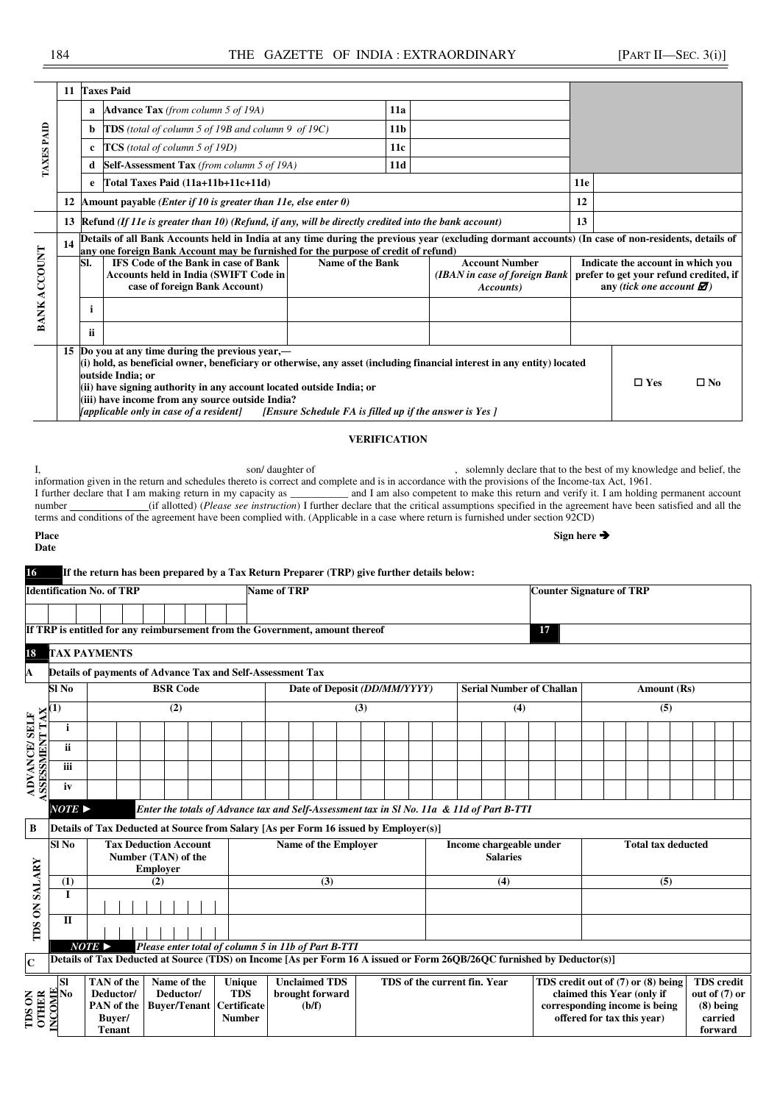|              |    |             | 11 Taxes Paid                                                                                                                                                                                                                                                                                                                                                                  |                                                        |                 |                                                                                                                                                            |     |                                                                                                                               |
|--------------|----|-------------|--------------------------------------------------------------------------------------------------------------------------------------------------------------------------------------------------------------------------------------------------------------------------------------------------------------------------------------------------------------------------------|--------------------------------------------------------|-----------------|------------------------------------------------------------------------------------------------------------------------------------------------------------|-----|-------------------------------------------------------------------------------------------------------------------------------|
|              |    | a           | <b>Advance Tax</b> (from column 5 of 19A)                                                                                                                                                                                                                                                                                                                                      |                                                        | 11a             |                                                                                                                                                            |     |                                                                                                                               |
|              |    | b           | <b>TDS</b> (total of column 5 of 19B and column 9 of 19C)                                                                                                                                                                                                                                                                                                                      |                                                        | 11 <sub>b</sub> |                                                                                                                                                            |     |                                                                                                                               |
| TAXES PAID   |    | $\mathbf c$ | TCS (total of column 5 of 19D)                                                                                                                                                                                                                                                                                                                                                 |                                                        | 11c             |                                                                                                                                                            |     |                                                                                                                               |
|              |    | d           | Self-Assessment Tax (from column 5 of 19A)                                                                                                                                                                                                                                                                                                                                     |                                                        | 11d             |                                                                                                                                                            |     |                                                                                                                               |
|              |    | e           | Total Taxes Paid (11a+11b+11c+11d)                                                                                                                                                                                                                                                                                                                                             |                                                        |                 |                                                                                                                                                            | 11e |                                                                                                                               |
|              |    |             | 12 Amount payable ( <i>Enter if 10 is greater than 11e, else enter 0</i> )                                                                                                                                                                                                                                                                                                     |                                                        |                 |                                                                                                                                                            | 12  |                                                                                                                               |
|              |    |             | 13 Refund (If 11e is greater than 10) (Refund, if any, will be directly credited into the bank account)                                                                                                                                                                                                                                                                        |                                                        |                 |                                                                                                                                                            | 13  |                                                                                                                               |
|              | 14 |             | Details of all Bank Accounts held in India at any time during the previous year (excluding dormant accounts) (In case of non-residents, details of<br>any one foreign Bank Account may be furnished for the purpose of credit of refund)                                                                                                                                       |                                                        |                 |                                                                                                                                                            |     |                                                                                                                               |
| BANK ACCOUNT |    | SI.         | <b>IFS Code of the Bank in case of Bank</b><br><b>Accounts held in India (SWIFT Code in</b><br>case of foreign Bank Account)                                                                                                                                                                                                                                                   | <b>Name of the Bank</b>                                |                 | <b>Account Number</b><br>(IBAN in case of foreign Bank<br>Accounts)                                                                                        |     | Indicate the account in which you<br>prefer to get your refund credited, if<br>any (tick one account $\mathbf{\mathcal{D}}$ ) |
|              |    | i           |                                                                                                                                                                                                                                                                                                                                                                                |                                                        |                 |                                                                                                                                                            |     |                                                                                                                               |
|              |    | ii.         |                                                                                                                                                                                                                                                                                                                                                                                |                                                        |                 |                                                                                                                                                            |     |                                                                                                                               |
|              |    |             | 15 Do you at any time during the previous year,—<br>(i) hold, as beneficial owner, beneficiary or otherwise, any asset (including financial interest in any entity) located<br>outside India; or<br>(ii) have signing authority in any account located outside India; or<br>(iii) have income from any source outside India?<br><i>(applicable only in case of a resident)</i> | [Ensure Schedule FA is filled up if the answer is Yes] |                 |                                                                                                                                                            |     | $\square$ Yes<br>$\square$ No                                                                                                 |
|              |    |             |                                                                                                                                                                                                                                                                                                                                                                                | <b>VERIFICATION</b>                                    |                 |                                                                                                                                                            |     |                                                                                                                               |
| number       |    |             | son/daughter of<br>information given in the return and schedules thereto is correct and complete and is in accordance with the provisions of the Income-tax Act, 1961.                                                                                                                                                                                                         |                                                        |                 | (if allotted) ( <i>Please see instruction</i> ) I further declare that the critical assumptions specified in the agreement have been satisfied and all the |     | solemnly declare that to the best of my knowledge and belief, the                                                             |

number (if allotted) (*Please see instruction*) I further declare that the critical assumptions specified in the agreement have been satisfied and all the terms and conditions of the agreement have been complied with. (Applicable in a case where return is furnished under section 92CD) **Place Sign here** 

| .                       |  |
|-------------------------|--|
| ł<br>.<br>۰.<br>M.<br>v |  |

## **16 If the return has been prepared by a Tax Return Preparer (TRP) give further details below:**

|                                             | <b>Identification No. of TRP</b> |                       |                 |                              |                                                                                                                        | <b>Name of TRP</b> |                                                                                                                                                                                                                                      |     |  |                              |  |  |                 |     |                                 | <b>Counter Signature of TRP</b>    |  |             |                   |
|---------------------------------------------|----------------------------------|-----------------------|-----------------|------------------------------|------------------------------------------------------------------------------------------------------------------------|--------------------|--------------------------------------------------------------------------------------------------------------------------------------------------------------------------------------------------------------------------------------|-----|--|------------------------------|--|--|-----------------|-----|---------------------------------|------------------------------------|--|-------------|-------------------|
|                                             |                                  |                       |                 |                              |                                                                                                                        |                    |                                                                                                                                                                                                                                      |     |  |                              |  |  |                 |     |                                 |                                    |  |             |                   |
|                                             |                                  |                       |                 |                              | If TRP is entitled for any reimbursement from the Government, amount thereof                                           |                    |                                                                                                                                                                                                                                      |     |  |                              |  |  |                 |     | 17                              |                                    |  |             |                   |
| 18                                          | <b>TAX PAYMENTS</b>              |                       |                 |                              |                                                                                                                        |                    |                                                                                                                                                                                                                                      |     |  |                              |  |  |                 |     |                                 |                                    |  |             |                   |
| A                                           |                                  |                       |                 |                              | Details of payments of Advance Tax and Self-Assessment Tax                                                             |                    |                                                                                                                                                                                                                                      |     |  |                              |  |  |                 |     |                                 |                                    |  |             |                   |
|                                             | Sl No                            |                       |                 | <b>BSR Code</b>              |                                                                                                                        |                    |                                                                                                                                                                                                                                      |     |  |                              |  |  |                 |     | <b>Serial Number of Challan</b> |                                    |  | Amount (Rs) |                   |
|                                             | $\bf(1)$                         |                       |                 | (2)                          |                                                                                                                        |                    | Date of Deposit (DD/MM/YYYY)<br>(3)                                                                                                                                                                                                  |     |  |                              |  |  |                 | (4) |                                 |                                    |  | (5)         |                   |
|                                             | i                                |                       |                 |                              |                                                                                                                        |                    | Enter the totals of Advance tax and Self-Assessment tax in Sl No. 11a & 11d of Part B-TTI<br>Details of Tax Deducted at Source from Salary [As per Form 16 issued by Employer(s)]<br>Name of the Employer<br>Income chargeable under |     |  |                              |  |  |                 |     |                                 |                                    |  |             |                   |
|                                             | ii                               |                       |                 |                              |                                                                                                                        |                    |                                                                                                                                                                                                                                      |     |  |                              |  |  |                 |     |                                 |                                    |  |             |                   |
| <b>ASESSMENT TAX</b><br><b>ADVANCE/SELF</b> | iii                              |                       |                 |                              |                                                                                                                        |                    |                                                                                                                                                                                                                                      |     |  |                              |  |  |                 |     |                                 |                                    |  |             |                   |
|                                             | iv                               |                       |                 |                              |                                                                                                                        |                    |                                                                                                                                                                                                                                      |     |  |                              |  |  |                 |     |                                 |                                    |  |             |                   |
|                                             | $NOTE \triangleright$            |                       |                 |                              |                                                                                                                        |                    |                                                                                                                                                                                                                                      |     |  |                              |  |  |                 |     |                                 |                                    |  |             |                   |
| B                                           |                                  |                       |                 |                              |                                                                                                                        |                    |                                                                                                                                                                                                                                      |     |  |                              |  |  |                 |     |                                 |                                    |  |             |                   |
|                                             | Sl No                            |                       |                 | <b>Tax Deduction Account</b> |                                                                                                                        |                    |                                                                                                                                                                                                                                      |     |  |                              |  |  |                 |     | <b>Total tax deducted</b>       |                                    |  |             |                   |
|                                             |                                  |                       | <b>Employer</b> | Number (TAN) of the          |                                                                                                                        |                    |                                                                                                                                                                                                                                      |     |  |                              |  |  | <b>Salaries</b> |     |                                 |                                    |  |             |                   |
|                                             | (1)                              |                       | (2)             |                              |                                                                                                                        |                    |                                                                                                                                                                                                                                      | (3) |  |                              |  |  | (4)             |     |                                 |                                    |  | (5)         |                   |
| <b>TDS ON SALARY</b>                        | 1                                |                       |                 |                              |                                                                                                                        |                    |                                                                                                                                                                                                                                      |     |  |                              |  |  |                 |     |                                 |                                    |  |             |                   |
|                                             | П                                |                       |                 |                              |                                                                                                                        |                    |                                                                                                                                                                                                                                      |     |  |                              |  |  |                 |     |                                 |                                    |  |             |                   |
|                                             |                                  | $NOTE \triangleright$ |                 |                              | Please enter total of column 5 in 11b of Part B-TTI                                                                    |                    |                                                                                                                                                                                                                                      |     |  |                              |  |  |                 |     |                                 |                                    |  |             |                   |
| $\mathbf C$                                 |                                  |                       |                 |                              | Details of Tax Deducted at Source (TDS) on Income [As per Form 16 A issued or Form 26OB/26OC furnished by Deductor(s)] |                    |                                                                                                                                                                                                                                      |     |  |                              |  |  |                 |     |                                 |                                    |  |             |                   |
|                                             | <b>SI</b>                        | TAN of the            |                 | Name of the                  | <b>Unique</b>                                                                                                          |                    | <b>Unclaimed TDS</b>                                                                                                                                                                                                                 |     |  | TDS of the current fin. Year |  |  |                 |     |                                 | TDS credit out of (7) or (8) being |  |             | <b>TDS</b> credit |
|                                             | No                               | Deductor/             |                 | Deductor/                    | <b>TDS</b>                                                                                                             |                    | brought forward                                                                                                                                                                                                                      |     |  |                              |  |  |                 |     |                                 | claimed this Year (only if         |  |             | out of $(7)$ or   |
|                                             |                                  | PAN of the            |                 | <b>Buyer/Tenant</b>          | <b>Certificate</b>                                                                                                     |                    | (b/f)                                                                                                                                                                                                                                |     |  |                              |  |  |                 |     |                                 | corresponding income is being      |  |             | $(8)$ being       |
| TDS ON<br>OTHER                             | <b>INCOME</b>                    | Buyer/                |                 |                              | <b>Number</b>                                                                                                          |                    |                                                                                                                                                                                                                                      |     |  |                              |  |  |                 |     |                                 | offered for tax this year)         |  |             | carried           |
|                                             |                                  | <b>Tenant</b>         |                 |                              |                                                                                                                        |                    |                                                                                                                                                                                                                                      |     |  |                              |  |  |                 |     |                                 |                                    |  |             | forward           |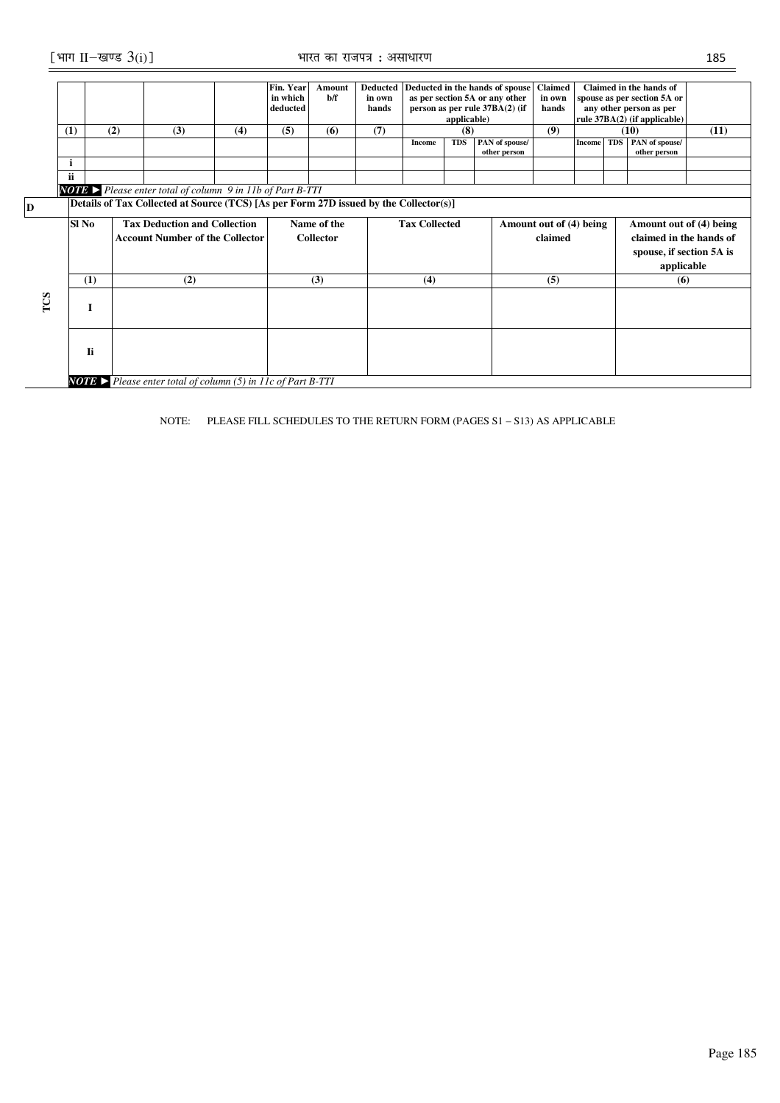|     | (1)<br>i<br>ii | (2)                                                                                   | (3)                                 | (4) | Fin. Year<br>in which<br>deducted<br>(5) | <b>Amount</b><br>h/f<br>(6)     | <b>Deducted</b><br>in own<br>hands<br>(7) | Income               | applicable)<br>(8)<br><b>TDS</b> | Deducted in the hands of spouse<br>as per section 5A or any other<br>person as per rule 37BA(2) (if<br>PAN of spouse/<br>other person | <b>Claimed</b><br>in own<br>hands<br>(9) | <b>Income</b> | Claimed in the hands of<br>spouse as per section 5A or<br>any other person as per<br>rule 37BA(2) (if applicable)<br>(10)<br>TDS PAN of spouse/<br>other person | (11) |
|-----|----------------|---------------------------------------------------------------------------------------|-------------------------------------|-----|------------------------------------------|---------------------------------|-------------------------------------------|----------------------|----------------------------------|---------------------------------------------------------------------------------------------------------------------------------------|------------------------------------------|---------------|-----------------------------------------------------------------------------------------------------------------------------------------------------------------|------|
|     |                | <b>NOTE</b> Please enter total of column 9 in 11b of Part B-TTI                       |                                     |     |                                          |                                 |                                           |                      |                                  |                                                                                                                                       |                                          |               |                                                                                                                                                                 |      |
| D   |                | Details of Tax Collected at Source (TCS) [As per Form 27D issued by the Collector(s)] |                                     |     |                                          |                                 |                                           |                      |                                  |                                                                                                                                       |                                          |               |                                                                                                                                                                 |      |
|     | Sl No          | <b>Account Number of the Collector</b>                                                | <b>Tax Deduction and Collection</b> |     |                                          | Name of the<br><b>Collector</b> |                                           | <b>Tax Collected</b> |                                  |                                                                                                                                       | Amount out of (4) being<br>claimed       |               | Amount out of (4) being<br>claimed in the hands of<br>spouse, if section 5A is<br>applicable                                                                    |      |
|     | (1)            |                                                                                       | (2)                                 |     |                                          | (3)                             |                                           | (4)                  |                                  |                                                                                                                                       | (5)                                      |               | (6)                                                                                                                                                             |      |
| TCS | I              |                                                                                       |                                     |     |                                          |                                 |                                           |                      |                                  |                                                                                                                                       |                                          |               |                                                                                                                                                                 |      |
|     | Ii             |                                                                                       |                                     |     |                                          |                                 |                                           |                      |                                  |                                                                                                                                       |                                          |               |                                                                                                                                                                 |      |
|     |                | <b>NOTE</b> > Please enter total of column (5) in 11c of Part B-TTI                   |                                     |     |                                          |                                 |                                           |                      |                                  |                                                                                                                                       |                                          |               |                                                                                                                                                                 |      |

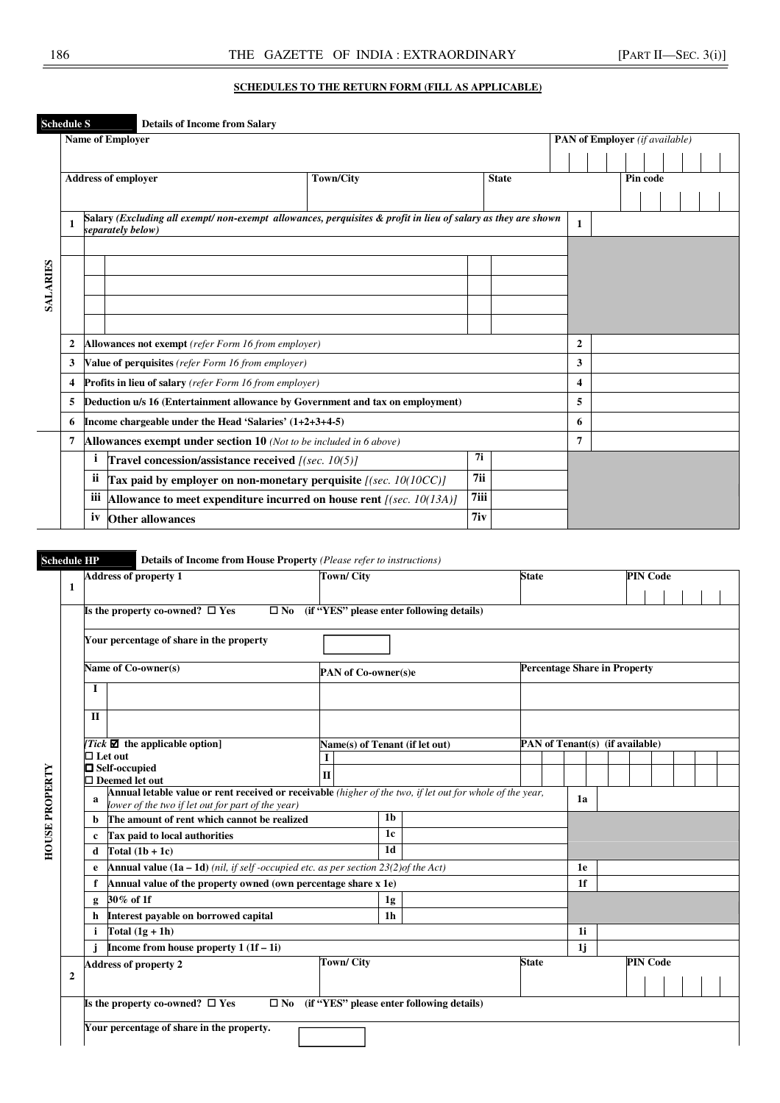### **SCHEDULES TO THE RETURN FORM (FILL AS APPLICABLE)**

|                 | <b>Schedule S</b> |     | <b>Details of Income from Salary</b>                                                                                              |                  |      |              |                                       |  |          |  |  |
|-----------------|-------------------|-----|-----------------------------------------------------------------------------------------------------------------------------------|------------------|------|--------------|---------------------------------------|--|----------|--|--|
|                 |                   |     | <b>Name of Employer</b>                                                                                                           |                  |      |              | <b>PAN of Employer</b> (if available) |  |          |  |  |
|                 |                   |     |                                                                                                                                   |                  |      |              |                                       |  |          |  |  |
|                 |                   |     | <b>Address of employer</b>                                                                                                        | <b>Town/City</b> |      | <b>State</b> |                                       |  | Pin code |  |  |
|                 |                   |     |                                                                                                                                   |                  |      |              |                                       |  |          |  |  |
|                 |                   |     | Salary (Excluding all exempt/non-exempt allowances, perquisites & profit in lieu of salary as they are shown<br>separately below) |                  |      |              | $\mathbf{1}$                          |  |          |  |  |
|                 |                   |     |                                                                                                                                   |                  |      |              |                                       |  |          |  |  |
|                 |                   |     |                                                                                                                                   |                  |      |              |                                       |  |          |  |  |
| <b>SALARIES</b> |                   |     |                                                                                                                                   |                  |      |              |                                       |  |          |  |  |
|                 |                   |     |                                                                                                                                   |                  |      |              |                                       |  |          |  |  |
|                 |                   |     |                                                                                                                                   |                  |      |              |                                       |  |          |  |  |
|                 | $\mathbf{2}$      |     | Allowances not exempt (refer Form 16 from employer)                                                                               |                  |      |              | $\mathbf{2}$                          |  |          |  |  |
|                 | 3                 |     | Value of perquisites (refer Form 16 from employer)                                                                                |                  |      |              | 3                                     |  |          |  |  |
|                 | 4                 |     | <b>Profits in lieu of salary</b> (refer Form 16 from employer)                                                                    |                  |      |              | 4                                     |  |          |  |  |
|                 | 5                 |     | Deduction u/s 16 (Entertainment allowance by Government and tax on employment)                                                    |                  |      |              | 5                                     |  |          |  |  |
|                 | 6                 |     | Income chargeable under the Head 'Salaries' (1+2+3+4-5)                                                                           |                  |      |              | 6                                     |  |          |  |  |
|                 | 7                 |     | Allowances exempt under section 10 (Not to be included in 6 above)                                                                |                  |      |              | 7                                     |  |          |  |  |
|                 |                   | 1   | Travel concession/assistance received [(sec. 10(5)]                                                                               |                  | 7i   |              |                                       |  |          |  |  |
|                 |                   | ii  | Tax paid by employer on non-monetary perquisite [(sec. 10(10CC)]                                                                  |                  | 7ii  |              |                                       |  |          |  |  |
|                 |                   | iii | Allowance to meet expenditure incurred on house rent $[(sec. 10(13A))]$                                                           |                  | 7iii |              |                                       |  |          |  |  |
|                 |                   | iv  | <b>Other allowances</b>                                                                                                           |                  | 7iv  |              |                                       |  |          |  |  |

**Schedule HP Details of Income from House Property** *(Please refer to instructions)*

|                       |             | <b>Address of property 1</b>                                                                                                                                   |              | <b>Town/City</b>    |                |                                                        | <b>State</b> |                                     |                | <b>PIN Code</b>                 |  |  |
|-----------------------|-------------|----------------------------------------------------------------------------------------------------------------------------------------------------------------|--------------|---------------------|----------------|--------------------------------------------------------|--------------|-------------------------------------|----------------|---------------------------------|--|--|
| 1                     |             |                                                                                                                                                                |              |                     |                |                                                        |              |                                     |                |                                 |  |  |
|                       |             | Is the property co-owned? $\Box$ Yes                                                                                                                           |              |                     |                | $\square$ No (if "YES" please enter following details) |              |                                     |                |                                 |  |  |
|                       |             | Your percentage of share in the property                                                                                                                       |              |                     |                |                                                        |              |                                     |                |                                 |  |  |
|                       |             |                                                                                                                                                                |              |                     |                |                                                        |              |                                     |                |                                 |  |  |
|                       |             | Name of Co-owner(s)                                                                                                                                            |              | PAN of Co-owner(s)e |                |                                                        |              | <b>Percentage Share in Property</b> |                |                                 |  |  |
|                       | I           |                                                                                                                                                                |              |                     |                |                                                        |              |                                     |                |                                 |  |  |
|                       | $\Pi$       |                                                                                                                                                                |              |                     |                |                                                        |              |                                     |                |                                 |  |  |
|                       |             |                                                                                                                                                                |              |                     |                |                                                        |              |                                     |                | PAN of Tenant(s) (if available) |  |  |
|                       |             | Tick $\blacksquare$ the applicable option]<br>$\Box$ Let out                                                                                                   |              |                     |                | Name(s) of Tenant (if let out)                         |              |                                     |                |                                 |  |  |
|                       |             | $\Box$ Self-occupied                                                                                                                                           | $\mathbf{I}$ |                     |                |                                                        |              |                                     |                |                                 |  |  |
|                       |             | $\square$ Deemed let out                                                                                                                                       |              |                     |                |                                                        |              |                                     |                |                                 |  |  |
| <b>HOUSE PROPERTY</b> | a           | Annual letable value or rent received or receivable (higher of the two, if let out for whole of the year,<br>lower of the two if let out for part of the year) |              |                     |                |                                                        |              |                                     | 1a             |                                 |  |  |
|                       | b           | The amount of rent which cannot be realized                                                                                                                    |              |                     | 1 <sub>b</sub> |                                                        |              |                                     |                |                                 |  |  |
|                       | $\mathbf c$ | Tax paid to local authorities                                                                                                                                  |              |                     | 1c             |                                                        |              |                                     |                |                                 |  |  |
|                       | d           | Total $(1b + 1c)$                                                                                                                                              |              |                     | 1d             |                                                        |              |                                     |                |                                 |  |  |
|                       | e           | <b>Annual value (1a – 1d)</b> (nil, if self-occupied etc. as per section $23(2)$ of the Act)                                                                   |              |                     |                |                                                        |              |                                     | 1e             |                                 |  |  |
|                       |             | Annual value of the property owned (own percentage share x 1e)                                                                                                 |              |                     |                |                                                        |              |                                     | 1 <sup>f</sup> |                                 |  |  |
|                       | g           | 30% of 1f                                                                                                                                                      |              |                     | 1g             |                                                        |              |                                     |                |                                 |  |  |
|                       | h           | Interest payable on borrowed capital                                                                                                                           |              |                     | 1 <sub>h</sub> |                                                        |              |                                     |                |                                 |  |  |
|                       | i           | Total $(1g + 1h)$                                                                                                                                              |              |                     |                |                                                        |              |                                     | 1i             |                                 |  |  |
|                       |             | Income from house property $1(1f-1i)$                                                                                                                          |              |                     |                |                                                        |              |                                     | 1j             |                                 |  |  |
|                       |             | <b>Address of property 2</b>                                                                                                                                   |              | <b>Town/City</b>    |                |                                                        | <b>State</b> |                                     |                | <b>PIN Code</b>                 |  |  |
| $\mathbf{2}$          |             |                                                                                                                                                                |              |                     |                |                                                        |              |                                     |                |                                 |  |  |
|                       |             | Is the property co-owned? $\Box$ Yes<br>$\square$ No                                                                                                           |              |                     |                | (if "YES" please enter following details)              |              |                                     |                |                                 |  |  |
|                       |             | Your percentage of share in the property.                                                                                                                      |              |                     |                |                                                        |              |                                     |                |                                 |  |  |
|                       |             |                                                                                                                                                                |              |                     |                |                                                        |              |                                     |                |                                 |  |  |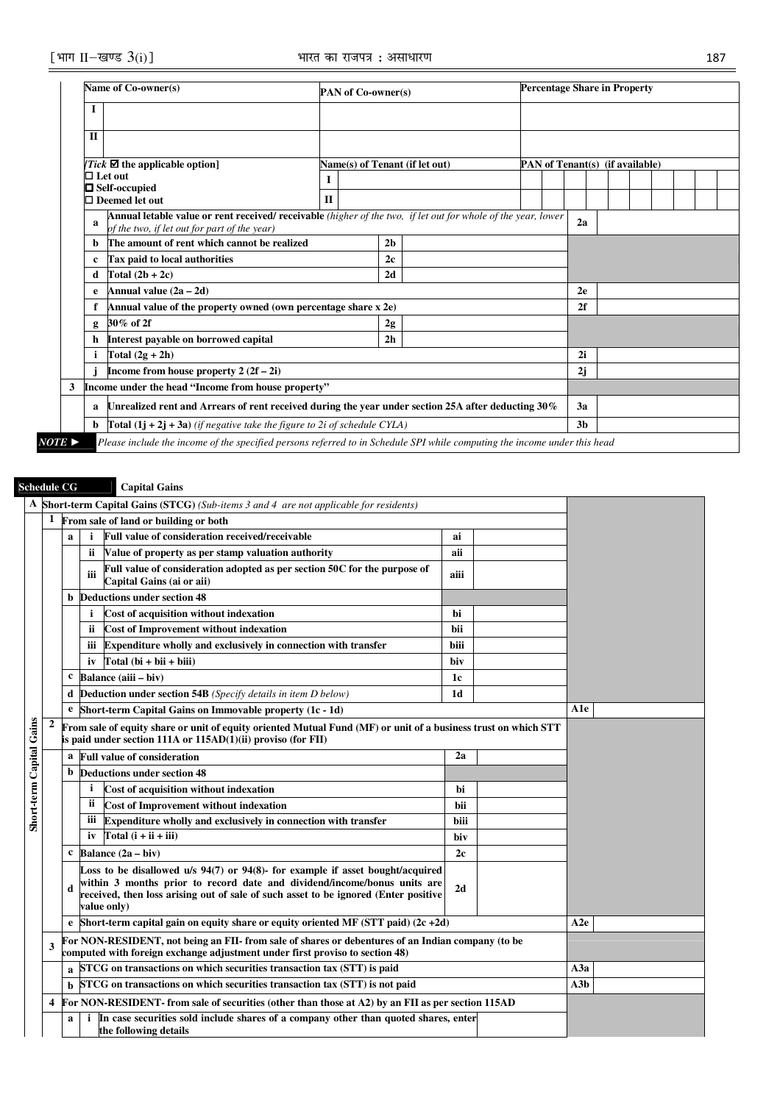| Name of Co-owner(s)                                                                                                                                                | <b>PAN of Co-owner(s)</b>                                                                                                                                                              |  |                |                                |  | <b>Percentage Share in Property</b> |    |  |  |                                 |  |  |
|--------------------------------------------------------------------------------------------------------------------------------------------------------------------|----------------------------------------------------------------------------------------------------------------------------------------------------------------------------------------|--|----------------|--------------------------------|--|-------------------------------------|----|--|--|---------------------------------|--|--|
| I                                                                                                                                                                  |                                                                                                                                                                                        |  |                |                                |  |                                     |    |  |  |                                 |  |  |
| $\mathbf{I}$                                                                                                                                                       |                                                                                                                                                                                        |  |                |                                |  |                                     |    |  |  |                                 |  |  |
| Tick $\blacksquare$ the applicable option]                                                                                                                         |                                                                                                                                                                                        |  |                | Name(s) of Tenant (if let out) |  |                                     |    |  |  | PAN of Tenant(s) (if available) |  |  |
| $\Box$ Let out                                                                                                                                                     |                                                                                                                                                                                        |  |                |                                |  |                                     |    |  |  |                                 |  |  |
| $\Box$ Self-occupied                                                                                                                                               |                                                                                                                                                                                        |  |                |                                |  |                                     |    |  |  |                                 |  |  |
| $\Box$ Deemed let out                                                                                                                                              | $_{\rm II}$                                                                                                                                                                            |  |                |                                |  |                                     |    |  |  |                                 |  |  |
| Annual letable value or rent received/ receivable (higher of the two, if let out for whole of the year, lower<br>a<br>of the two, if let out for part of the year) |                                                                                                                                                                                        |  |                |                                |  |                                     | 2a |  |  |                                 |  |  |
| The amount of rent which cannot be realized<br>b.                                                                                                                  |                                                                                                                                                                                        |  | 2 <sub>h</sub> |                                |  |                                     |    |  |  |                                 |  |  |
| Tax paid to local authorities<br>c                                                                                                                                 |                                                                                                                                                                                        |  | 2c             |                                |  |                                     |    |  |  |                                 |  |  |
| Total $(2b + 2c)$<br>d                                                                                                                                             |                                                                                                                                                                                        |  | 2d             |                                |  |                                     |    |  |  |                                 |  |  |
| Annual value $(2a - 2d)$<br>e                                                                                                                                      |                                                                                                                                                                                        |  |                |                                |  |                                     | 2e |  |  |                                 |  |  |
| Annual value of the property owned (own percentage share x 2e)                                                                                                     |                                                                                                                                                                                        |  |                |                                |  |                                     | 2f |  |  |                                 |  |  |
| 30% of 2f<br>g                                                                                                                                                     |                                                                                                                                                                                        |  | 2g             |                                |  |                                     |    |  |  |                                 |  |  |
| Interest payable on borrowed capital<br>h                                                                                                                          |                                                                                                                                                                                        |  | 2 <sub>h</sub> |                                |  |                                     |    |  |  |                                 |  |  |
| Total $(2g + 2h)$                                                                                                                                                  |                                                                                                                                                                                        |  |                |                                |  |                                     | 2i |  |  |                                 |  |  |
| Income from house property $2(2f - 2i)$                                                                                                                            |                                                                                                                                                                                        |  |                |                                |  |                                     | 2j |  |  |                                 |  |  |
| Income under the head "Income from house property"                                                                                                                 |                                                                                                                                                                                        |  |                |                                |  |                                     |    |  |  |                                 |  |  |
| a                                                                                                                                                                  |                                                                                                                                                                                        |  |                |                                |  |                                     | 3a |  |  |                                 |  |  |
| b                                                                                                                                                                  | Unrealized rent and Arrears of rent received during the year under section 25A after deducting 30%<br><b>Total (1j + 2j + 3a)</b> (if negative take the figure to 2i of schedule CYLA) |  |                |                                |  |                                     |    |  |  |                                 |  |  |

*NOTE* ► *Please include the income of the specified persons referred to in Schedule SPI while computing the income under this head* 

# **Schedule CG Capital Gains**

## **A Short-term Capital Gains (STCG)** *(Sub-items 3 and 4 are not applicable for residents)* **1 From sale of land or building or both a i Full value of consideration received/receivable <b>a i ai ii Value of property as per stamp valuation authority aii iii Full value of consideration adopted as per section 50C for the purpose of Capital Gains (ai or aii) aiii b Deductions under section 48 i** Cost of acquisition without indexation **bi** bi **ii** Cost of Improvement without indexation **built contained** bii **iii** Expenditure wholly and exclusively in connection with transfer biii  $iv$   $Total (bi + bii + biii)$  biv  $\frac{c}{\text{Balance (aiii - biv)}}$  1c **d Deduction under section 54B** *(Specify details in item D below)* **1d e Short-term Capital Gains on Immovable property (1c - 1d) A1e Short-term Capital Gains**  Short-term Capital Gains **2 From sale of equity share or unit of equity oriented Mutual Fund (MF) or unit of a business trust on which STT is paid under section 111A or 115AD(1)(ii) proviso (for FII) a Full value of consideration** 2a **b Deductions under section 48 i** Cost of acquisition without indexation ii Cost of Improvement without indexation **building the state of Improvement without indexation iii Expenditure wholly and exclusively in connection with transfer biii iv Total (i + ii + iii) biv**   $c \quad \text{Balance } (2a - biv)$  2c **Loss to be disallowed u/s 94(7) or 94(8)- for example if asset bought/acquired within 3 months prior to record date and dividend/income/bonus units are d 2d received, then loss arising out of sale of such asset to be ignored (Enter positive value only) e** Short-term capital gain on equity share or equity oriented MF (STT paid) (2c +2d) A2e **<sup>3</sup>For NON-RESIDENT, not being an FII- from sale of shares or debentures of an Indian company (to be computed with foreign exchange adjustment under first proviso to section 48) a STCG on transactions on which securities transaction tax (STT) is paid A3a b STCG on transactions on which securities transaction tax (STT) is not paid A3b 4 For NON-RESIDENT- from sale of securities (other than those at A2) by an FII as per section 115AD a** i In case securities sold include shares of a company other than quoted shares, enter **the following details**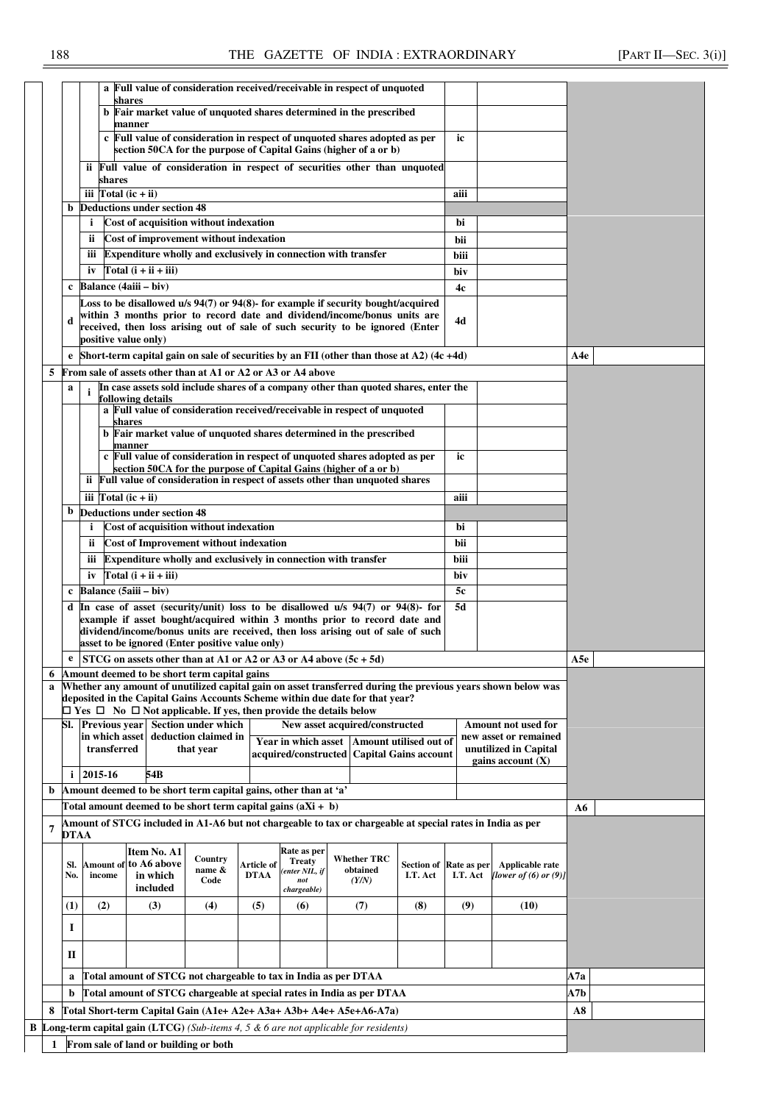|   |                  |                             |                                                                                    |                      |                           |                              | a Full value of consideration received/receivable in respect of unquoted                                                                                         |                                    |          |                                                                                                              |     |
|---|------------------|-----------------------------|------------------------------------------------------------------------------------|----------------------|---------------------------|------------------------------|------------------------------------------------------------------------------------------------------------------------------------------------------------------|------------------------------------|----------|--------------------------------------------------------------------------------------------------------------|-----|
|   |                  |                             | shares                                                                             |                      |                           |                              |                                                                                                                                                                  |                                    |          |                                                                                                              |     |
|   |                  |                             | manner                                                                             |                      |                           |                              | b Fair market value of unquoted shares determined in the prescribed                                                                                              |                                    |          |                                                                                                              |     |
|   |                  |                             |                                                                                    |                      |                           |                              | c Full value of consideration in respect of unquoted shares adopted as per<br>section 50CA for the purpose of Capital Gains (higher of a or b)                   |                                    | ic       |                                                                                                              |     |
|   |                  | shares                      |                                                                                    |                      |                           |                              | ii Full value of consideration in respect of securities other than unquoted                                                                                      |                                    |          |                                                                                                              |     |
|   |                  | iii $Total (ic + ii)$       |                                                                                    |                      |                           |                              |                                                                                                                                                                  |                                    | aiii     |                                                                                                              |     |
|   | b                |                             | <b>Deductions under section 48</b>                                                 |                      |                           |                              |                                                                                                                                                                  |                                    |          |                                                                                                              |     |
|   |                  | i.                          | Cost of acquisition without indexation                                             |                      |                           |                              |                                                                                                                                                                  |                                    | bi       |                                                                                                              |     |
|   |                  | ii.                         | Cost of improvement without indexation                                             |                      |                           |                              |                                                                                                                                                                  |                                    | bii      |                                                                                                              |     |
|   |                  | iii                         |                                                                                    |                      |                           |                              | Expenditure wholly and exclusively in connection with transfer                                                                                                   |                                    | biii     |                                                                                                              |     |
|   |                  | iv                          | Total $(i + ii + iii)$                                                             |                      |                           |                              |                                                                                                                                                                  |                                    |          |                                                                                                              |     |
|   | c                |                             | Balance (4aiii – biv)                                                              |                      |                           |                              |                                                                                                                                                                  |                                    | biv      |                                                                                                              |     |
|   |                  |                             |                                                                                    |                      |                           |                              | Loss to be disallowed u/s 94(7) or 94(8)- for example if security bought/acquired                                                                                |                                    | 4c       |                                                                                                              |     |
|   |                  |                             | positive value only)                                                               |                      |                           |                              | within 3 months prior to record date and dividend/income/bonus units are<br>received, then loss arising out of sale of such security to be ignored (Enter        |                                    | 4d       |                                                                                                              |     |
|   |                  |                             |                                                                                    |                      |                           |                              | e Short-term capital gain on sale of securities by an FII (other than those at $A2$ ) (4c +4d)                                                                   |                                    |          |                                                                                                              | A4e |
| 5 |                  |                             | From sale of assets other than at A1 or A2 or A3 or A4 above                       |                      |                           |                              |                                                                                                                                                                  |                                    |          |                                                                                                              |     |
|   | a                | $\mathbf{i}$                |                                                                                    |                      |                           |                              | In case assets sold include shares of a company other than quoted shares, enter the                                                                              |                                    |          |                                                                                                              |     |
|   |                  |                             | following details                                                                  |                      |                           |                              | a Full value of consideration received/receivable in respect of unquoted                                                                                         |                                    |          |                                                                                                              |     |
|   |                  |                             | shares                                                                             |                      |                           |                              | b Fair market value of unquoted shares determined in the prescribed                                                                                              |                                    |          |                                                                                                              |     |
|   |                  |                             | manner                                                                             |                      |                           |                              | c Full value of consideration in respect of unquoted shares adopted as per                                                                                       |                                    | ic       |                                                                                                              |     |
|   |                  |                             |                                                                                    |                      |                           |                              | section 50CA for the purpose of Capital Gains (higher of a or b)<br>ii Full value of consideration in respect of assets other than unquoted shares               |                                    |          |                                                                                                              |     |
|   |                  | iii $\Gamma$ otal (ic + ii) |                                                                                    |                      |                           |                              |                                                                                                                                                                  |                                    | aiii     |                                                                                                              |     |
|   | b                |                             | <b>Deductions under section 48</b>                                                 |                      |                           |                              |                                                                                                                                                                  |                                    |          |                                                                                                              |     |
|   |                  | $\mathbf{i}$                | Cost of acquisition without indexation                                             |                      |                           |                              |                                                                                                                                                                  |                                    | bi       |                                                                                                              |     |
|   |                  | ii.                         | <b>Cost of Improvement without indexation</b>                                      |                      |                           |                              |                                                                                                                                                                  |                                    | bii      |                                                                                                              |     |
|   |                  |                             |                                                                                    |                      |                           |                              | Expenditure wholly and exclusively in connection with transfer                                                                                                   |                                    |          |                                                                                                              |     |
|   |                  | iii                         |                                                                                    |                      |                           |                              |                                                                                                                                                                  |                                    | biii     |                                                                                                              |     |
|   |                  |                             | iv $Total(i + ii + iii)$                                                           |                      |                           |                              |                                                                                                                                                                  |                                    | biv      |                                                                                                              |     |
|   | c                |                             | Balance (5aiii - biv)                                                              |                      |                           |                              |                                                                                                                                                                  |                                    | 5c       |                                                                                                              |     |
|   |                  |                             |                                                                                    |                      |                           |                              | d $\ln$ case of asset (security/unit) loss to be disallowed u/s 94(7) or 94(8)- for<br>example if asset bought/acquired within 3 months prior to record date and |                                    | 5d       |                                                                                                              |     |
|   |                  |                             |                                                                                    |                      |                           |                              | dividend/income/bonus units are received, then loss arising out of sale of such                                                                                  |                                    |          |                                                                                                              |     |
|   |                  |                             | asset to be ignored (Enter positive value only)                                    |                      |                           |                              |                                                                                                                                                                  |                                    |          |                                                                                                              |     |
|   | e                |                             |                                                                                    |                      |                           |                              | STCG on assets other than at A1 or A2 or A3 or A4 above $(5c + 5d)$                                                                                              |                                    |          |                                                                                                              | A5e |
| 6 |                  |                             | Amount deemed to be short term capital gains                                       |                      |                           |                              |                                                                                                                                                                  |                                    |          |                                                                                                              |     |
| a |                  |                             | $\Box$ Yes $\Box$ No $\Box$ Not applicable. If yes, then provide the details below |                      |                           |                              | deposited in the Capital Gains Accounts Scheme within due date for that year?                                                                                    |                                    |          | Whether any amount of unutilized capital gain on asset transferred during the previous years shown below was |     |
|   |                  | SI. Previous vear           |                                                                                    | Section under which  |                           |                              | New asset acquired/constructed                                                                                                                                   |                                    |          | <b>Amount not used for</b>                                                                                   |     |
|   |                  | in which asset              |                                                                                    | deduction claimed in |                           |                              | Year in which asset Amount utilised out of                                                                                                                       |                                    |          | new asset or remained                                                                                        |     |
|   |                  | transferred                 |                                                                                    | that year            |                           |                              | acquired/constructed Capital Gains account                                                                                                                       |                                    |          | unutilized in Capital                                                                                        |     |
|   |                  | $i$ 2015-16                 | 54B                                                                                |                      |                           |                              |                                                                                                                                                                  |                                    |          | gains account $(X)$                                                                                          |     |
| b |                  |                             | Amount deemed to be short term capital gains, other than at 'a'                    |                      |                           |                              |                                                                                                                                                                  |                                    |          |                                                                                                              |     |
|   |                  |                             | Total amount deemed to be short term capital gains $(aXi + b)$                     |                      |                           |                              |                                                                                                                                                                  |                                    |          |                                                                                                              | A6  |
| 7 |                  |                             |                                                                                    |                      |                           |                              | Amount of STCG included in A1-A6 but not chargeable to tax or chargeable at special rates in India as per                                                        |                                    |          |                                                                                                              |     |
|   | DTAA             |                             |                                                                                    |                      |                           |                              |                                                                                                                                                                  |                                    |          |                                                                                                              |     |
|   |                  |                             | Item No. A1                                                                        | Country              |                           | Rate as per<br><b>Treaty</b> | <b>Whether TRC</b>                                                                                                                                               |                                    |          |                                                                                                              |     |
|   | SI.<br>No.       | income                      | Amount of to A6 above<br>in which                                                  | name &               | Article of<br><b>DTAA</b> | (enter NIL, if               | obtained                                                                                                                                                         | Section of Rate as per<br>I.T. Act | I.T. Act | Applicable rate<br>[lower of $(6)$ or $(9)$ ]                                                                |     |
|   |                  |                             | included                                                                           | Code                 |                           | not<br>chargeable)           | (Y/N)                                                                                                                                                            |                                    |          |                                                                                                              |     |
|   | $\left(1\right)$ | (2)                         | (3)                                                                                | (4)                  | (5)                       | (6)                          | (7)                                                                                                                                                              | (8)                                | (9)      | (10)                                                                                                         |     |
|   | 1                |                             |                                                                                    |                      |                           |                              |                                                                                                                                                                  |                                    |          |                                                                                                              |     |
|   |                  |                             |                                                                                    |                      |                           |                              |                                                                                                                                                                  |                                    |          |                                                                                                              |     |
|   | п                |                             |                                                                                    |                      |                           |                              |                                                                                                                                                                  |                                    |          |                                                                                                              |     |
|   | a                |                             | Total amount of STCG not chargeable to tax in India as per DTAA                    |                      |                           |                              |                                                                                                                                                                  |                                    |          |                                                                                                              | A7a |
|   | b                |                             |                                                                                    |                      |                           |                              | Total amount of STCG chargeable at special rates in India as per DTAA                                                                                            |                                    |          |                                                                                                              | A7b |
| 8 |                  |                             |                                                                                    |                      |                           |                              | Total Short-term Capital Gain (A1e+ A2e+ A3a+ A3b+ A4e+ A5e+A6-A7a)                                                                                              |                                    |          |                                                                                                              | A8  |
|   |                  |                             |                                                                                    |                      |                           |                              | <b>B</b> Long-term capital gain (LTCG) (Sub-items 4, 5 $\&$ 6 are not applicable for residents)                                                                  |                                    |          |                                                                                                              |     |
| 1 |                  |                             | From sale of land or building or both                                              |                      |                           |                              |                                                                                                                                                                  |                                    |          |                                                                                                              |     |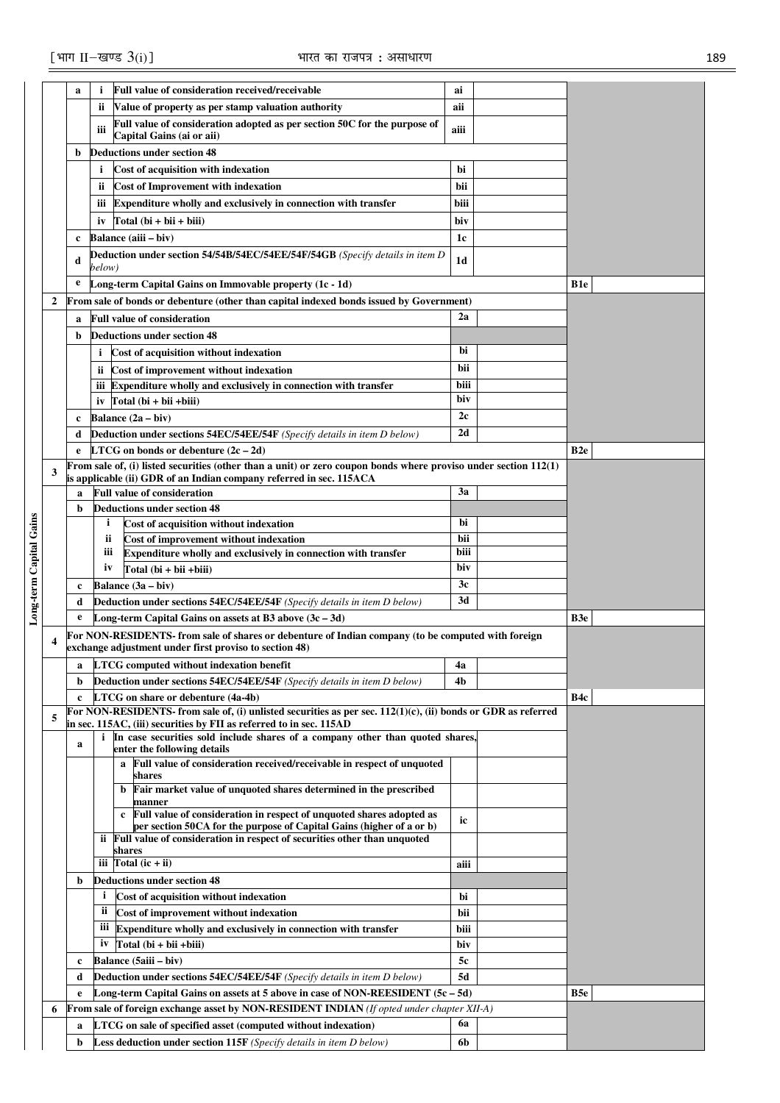|                         |              | a      | i.           | <b>Full value of consideration received/receivable</b>                                                                                                       | ai             |                 |
|-------------------------|--------------|--------|--------------|--------------------------------------------------------------------------------------------------------------------------------------------------------------|----------------|-----------------|
|                         |              |        | ii.          | Value of property as per stamp valuation authority                                                                                                           | aii            |                 |
|                         |              |        | iii          | Full value of consideration adopted as per section 50C for the purpose of                                                                                    | aiii           |                 |
|                         |              |        |              | Capital Gains (ai or aii)                                                                                                                                    |                |                 |
|                         |              | b      |              | Deductions under section 48                                                                                                                                  |                |                 |
|                         |              |        | i.           | Cost of acquisition with indexation                                                                                                                          | bi             |                 |
|                         |              |        | ii.          | <b>Cost of Improvement with indexation</b>                                                                                                                   | bii            |                 |
|                         |              |        | iii          | <b>Expenditure wholly and exclusively in connection with transfer</b>                                                                                        | biii           |                 |
|                         |              |        | iv           | $Total (bi + bii + biii)$                                                                                                                                    | biv            |                 |
|                         |              | c      |              | Balance (aiii – biv)                                                                                                                                         | 1c             |                 |
|                         |              | d      | below)       | Deduction under section 54/54B/54EC/54EE/54F/54GB (Specify details in item D                                                                                 | 1 <sub>d</sub> |                 |
|                         |              | e      |              | Long-term Capital Gains on Immovable property (1c - 1d)                                                                                                      |                | B <sub>1e</sub> |
|                         | $\mathbf{2}$ |        |              | From sale of bonds or debenture (other than capital indexed bonds issued by Government)                                                                      |                |                 |
|                         |              | a      |              | <b>Full value of consideration</b>                                                                                                                           | 2a             |                 |
|                         |              | b      |              | <b>Deductions under section 48</b>                                                                                                                           |                |                 |
|                         |              |        | i            | Cost of acquisition without indexation                                                                                                                       | bi             |                 |
|                         |              |        | ii.          | Cost of improvement without indexation                                                                                                                       | bii            |                 |
|                         |              |        |              | iii Expenditure wholly and exclusively in connection with transfer                                                                                           | biii           |                 |
|                         |              |        |              | iv $Total (bi + bii + biii)$                                                                                                                                 | biv            |                 |
|                         |              | c      |              | Balance (2a - biv)                                                                                                                                           | 2c             |                 |
|                         |              | d      |              | <b>Deduction under sections 54EC/54EE/54F</b> (Specify details in item D below)                                                                              | 2d             |                 |
|                         |              | e      |              | <b>LTCG</b> on bonds or debenture $(2c - 2d)$                                                                                                                |                | B <sub>2e</sub> |
|                         | 3            |        |              | From sale of, (i) listed securities (other than a unit) or zero coupon bonds where proviso under section 112(1)                                              |                |                 |
|                         |              |        |              | is applicable (ii) GDR of an Indian company referred in sec. 115ACA<br><b>Full value of consideration</b>                                                    | 3a             |                 |
|                         |              | a<br>b |              | <b>Deductions under section 48</b>                                                                                                                           |                |                 |
|                         |              |        | i.           | Cost of acquisition without indexation                                                                                                                       | bi             |                 |
|                         |              |        | ii           | Cost of improvement without indexation                                                                                                                       | bii            |                 |
|                         |              |        | iii          | Expenditure wholly and exclusively in connection with transfer                                                                                               | biii           |                 |
|                         |              |        | iv           | $Total (bi + bii + biii)$                                                                                                                                    | biv            |                 |
|                         |              | c      |              | Balance $(3a - biv)$                                                                                                                                         | 3c             |                 |
|                         |              | d      |              | <b>Deduction under sections 54EC/54EE/54F</b> (Specify details in item D below)                                                                              | 3d             |                 |
| Long-term Capital Gains |              | e      |              | Long-term Capital Gains on assets at B3 above $(3c - 3d)$                                                                                                    |                | B3e             |
|                         | 4            |        |              | For NON-RESIDENTS- from sale of shares or debenture of Indian company (to be computed with foreign<br>exchange adjustment under first proviso to section 48) |                |                 |
|                         |              | a      |              | LTCG computed without indexation benefit                                                                                                                     | 4a             |                 |
|                         |              | b      |              | Deduction under sections 54EC/54EE/54F (Specify details in item D below)                                                                                     | 4b             |                 |
|                         |              | c      |              | LTCG on share or debenture (4a-4b)                                                                                                                           |                | B4c             |
|                         |              |        |              | For NON-RESIDENTS- from sale of, (i) unlisted securities as per sec. $112(1)(c)$ , (ii) bonds or GDR as referred                                             |                |                 |
|                         | 5            |        |              | in sec. 115AC, (iii) securities by FII as referred to in sec. 115AD                                                                                          |                |                 |
|                         |              | a      | i            | In case securities sold include shares of a company other than quoted shares,<br>enter the following details                                                 |                |                 |
|                         |              |        |              | a Full value of consideration received/receivable in respect of unquoted                                                                                     |                |                 |
|                         |              |        |              | shares                                                                                                                                                       |                |                 |
|                         |              |        |              | b Fair market value of unquoted shares determined in the prescribed<br>manner                                                                                |                |                 |
|                         |              |        |              | Full value of consideration in respect of unquoted shares adopted as<br>$\mathbf{c}$                                                                         | ic             |                 |
|                         |              |        |              | per section 50CA for the purpose of Capital Gains (higher of a or b)                                                                                         |                |                 |
|                         |              |        |              | ii Full value of consideration in respect of securities other than unquoted<br>shares                                                                        |                |                 |
|                         |              |        |              | iii $Total (ic + ii)$                                                                                                                                        | aiii           |                 |
|                         |              | b      |              | <b>Deductions under section 48</b>                                                                                                                           |                |                 |
|                         |              |        | $\mathbf{i}$ | Cost of acquisition without indexation                                                                                                                       | bi             |                 |
|                         |              |        | ii           | Cost of improvement without indexation                                                                                                                       | bii            |                 |
|                         |              |        | Ш            | Expenditure wholly and exclusively in connection with transfer                                                                                               | biii           |                 |
|                         |              |        | iv           | $Total (bi + bii + biii)$                                                                                                                                    | biv            |                 |
|                         |              | c      |              | Balance (5aiii - biv)                                                                                                                                        | 5c             |                 |
|                         |              |        |              | <b>Deduction under sections 54EC/54EE/54F</b> (Specify details in item D below)                                                                              | 5d             |                 |
|                         |              | d      |              |                                                                                                                                                              |                |                 |
|                         |              | e      |              | Long-term Capital Gains on assets at 5 above in case of NON-REESIDENT $(5c - 5d)$                                                                            |                | B5e             |
|                         | 6            |        |              | <b>From sale of foreign exchange asset by NON-RESIDENT INDIAN</b> (If opted under chapter XII-A)                                                             |                |                 |
|                         |              | a      |              | <b>LTCG</b> on sale of specified asset (computed without indexation)                                                                                         | 6a             |                 |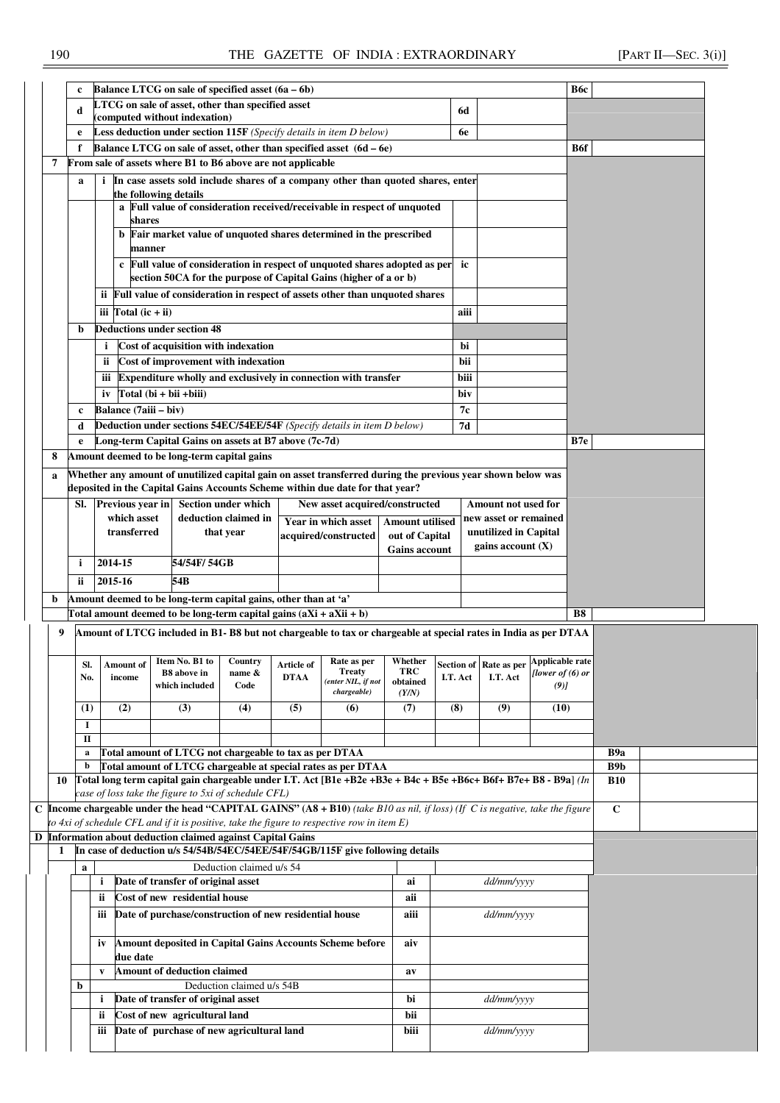|    | c                                                                                                                                                                                            |              |                                                             |                    | Balance LTCG on sale of specified asset $(6a - 6b)$                 |             |                                                                                                                               |                        |                       |                                                       |                    | Вбс        |                  |  |
|----|----------------------------------------------------------------------------------------------------------------------------------------------------------------------------------------------|--------------|-------------------------------------------------------------|--------------------|---------------------------------------------------------------------|-------------|-------------------------------------------------------------------------------------------------------------------------------|------------------------|-----------------------|-------------------------------------------------------|--------------------|------------|------------------|--|
|    | d                                                                                                                                                                                            |              |                                                             |                    | LTCG on sale of asset, other than specified asset                   |             |                                                                                                                               |                        | 6d                    |                                                       |                    |            |                  |  |
|    |                                                                                                                                                                                              |              | (computed without indexation)                               |                    |                                                                     |             |                                                                                                                               |                        |                       |                                                       |                    |            |                  |  |
|    | e                                                                                                                                                                                            |              |                                                             |                    |                                                                     |             | Less deduction under section 115F (Specify details in item D below)                                                           |                        |                       | 6e                                                    |                    |            |                  |  |
|    | f                                                                                                                                                                                            |              |                                                             |                    |                                                                     |             | Balance LTCG on sale of asset, other than specified asset (6d - 6e)                                                           |                        |                       |                                                       |                    | <b>B6f</b> |                  |  |
| 7  |                                                                                                                                                                                              |              |                                                             |                    | From sale of assets where B1 to B6 above are not applicable         |             |                                                                                                                               |                        |                       |                                                       |                    |            |                  |  |
|    | a                                                                                                                                                                                            |              |                                                             |                    |                                                                     |             | In case assets sold include shares of a company other than quoted shares, enter                                               |                        |                       |                                                       |                    |            |                  |  |
|    |                                                                                                                                                                                              |              | the following details                                       |                    |                                                                     |             |                                                                                                                               |                        |                       |                                                       |                    |            |                  |  |
|    |                                                                                                                                                                                              |              |                                                             |                    |                                                                     |             | Full value of consideration received/receivable in respect of unquoted                                                        |                        |                       |                                                       |                    |            |                  |  |
|    |                                                                                                                                                                                              |              | shares                                                      |                    |                                                                     |             |                                                                                                                               |                        |                       |                                                       |                    |            |                  |  |
|    |                                                                                                                                                                                              |              |                                                             |                    |                                                                     |             | b Fair market value of unquoted shares determined in the prescribed                                                           |                        |                       |                                                       |                    |            |                  |  |
|    |                                                                                                                                                                                              |              | manner                                                      |                    |                                                                     |             |                                                                                                                               |                        |                       |                                                       |                    |            |                  |  |
|    | c Full value of consideration in respect of unquoted shares adopted as per                                                                                                                   |              |                                                             |                    |                                                                     |             |                                                                                                                               |                        |                       |                                                       |                    |            |                  |  |
|    |                                                                                                                                                                                              |              |                                                             |                    |                                                                     |             |                                                                                                                               |                        |                       | ic                                                    |                    |            |                  |  |
|    |                                                                                                                                                                                              |              |                                                             |                    |                                                                     |             | section 50CA for the purpose of Capital Gains (higher of a or b)                                                              |                        |                       |                                                       |                    |            |                  |  |
|    |                                                                                                                                                                                              |              |                                                             |                    |                                                                     |             | ii Full value of consideration in respect of assets other than unquoted shares                                                |                        |                       |                                                       |                    |            |                  |  |
|    |                                                                                                                                                                                              |              | iii $\Gamma$ otal (ic + ii)                                 |                    |                                                                     |             |                                                                                                                               |                        |                       | aiii                                                  |                    |            |                  |  |
|    | b                                                                                                                                                                                            |              | <b>Deductions under section 48</b>                          |                    |                                                                     |             |                                                                                                                               |                        |                       |                                                       |                    |            |                  |  |
|    |                                                                                                                                                                                              | i            |                                                             |                    | Cost of acquisition with indexation                                 |             |                                                                                                                               |                        |                       | bi                                                    |                    |            |                  |  |
|    |                                                                                                                                                                                              |              |                                                             |                    |                                                                     |             |                                                                                                                               |                        |                       |                                                       |                    |            |                  |  |
|    |                                                                                                                                                                                              | ii.          |                                                             |                    | Cost of improvement with indexation                                 |             |                                                                                                                               |                        |                       | bii                                                   |                    |            |                  |  |
|    |                                                                                                                                                                                              |              |                                                             |                    |                                                                     |             | iii Expenditure wholly and exclusively in connection with transfer                                                            |                        |                       | biii                                                  |                    |            |                  |  |
|    |                                                                                                                                                                                              | iv           | Total (bi + bii + biii)                                     |                    |                                                                     |             |                                                                                                                               |                        |                       | biv                                                   |                    |            |                  |  |
|    | c                                                                                                                                                                                            |              | Balance (7aiii - biv)                                       |                    |                                                                     |             |                                                                                                                               |                        |                       | 7с                                                    |                    |            |                  |  |
|    | d                                                                                                                                                                                            |              |                                                             |                    |                                                                     |             | Deduction under sections 54EC/54EE/54F (Specify details in item D below)                                                      |                        |                       | 7d                                                    |                    |            |                  |  |
|    | e                                                                                                                                                                                            |              |                                                             |                    | Long-term Capital Gains on assets at B7 above (7c-7d)               |             |                                                                                                                               |                        |                       |                                                       |                    | B7e        |                  |  |
| 8  |                                                                                                                                                                                              |              |                                                             |                    | Amount deemed to be long-term capital gains                         |             |                                                                                                                               |                        |                       |                                                       |                    |            |                  |  |
|    |                                                                                                                                                                                              |              |                                                             |                    |                                                                     |             |                                                                                                                               |                        |                       |                                                       |                    |            |                  |  |
| a  | Whether any amount of unutilized capital gain on asset transferred during the previous year shown below was<br>deposited in the Capital Gains Accounts Scheme within due date for that year? |              |                                                             |                    |                                                                     |             |                                                                                                                               |                        |                       |                                                       |                    |            |                  |  |
|    |                                                                                                                                                                                              |              |                                                             |                    |                                                                     |             |                                                                                                                               |                        |                       |                                                       |                    |            |                  |  |
|    | SI.                                                                                                                                                                                          |              | Previous year in                                            |                    | Section under which                                                 |             | New asset acquired/constructed                                                                                                |                        |                       | Amount not used for                                   |                    |            |                  |  |
|    | which asset<br>deduction claimed in<br>Year in which asset<br><b>Amount utilised</b>                                                                                                         |              |                                                             |                    |                                                                     |             |                                                                                                                               |                        | new asset or remained |                                                       |                    |            |                  |  |
|    |                                                                                                                                                                                              |              | transferred                                                 |                    | that year                                                           |             | acquired/constructed                                                                                                          | out of Capital         |                       | unutilized in Capital                                 |                    |            |                  |  |
|    | <b>Gains account</b>                                                                                                                                                                         |              |                                                             |                    |                                                                     |             |                                                                                                                               |                        | gains account (X)     |                                                       |                    |            |                  |  |
|    | 2014-15<br>54/54F/ 54GB<br>i.                                                                                                                                                                |              |                                                             |                    |                                                                     |             |                                                                                                                               |                        |                       |                                                       |                    |            |                  |  |
|    | 2015-16<br>54B<br>ii.                                                                                                                                                                        |              |                                                             |                    |                                                                     |             |                                                                                                                               |                        |                       |                                                       |                    |            |                  |  |
|    |                                                                                                                                                                                              |              |                                                             |                    |                                                                     |             |                                                                                                                               |                        |                       |                                                       |                    |            |                  |  |
| b  |                                                                                                                                                                                              |              |                                                             |                    | Amount deemed to be long-term capital gains, other than at 'a'      |             |                                                                                                                               |                        |                       |                                                       |                    |            |                  |  |
|    |                                                                                                                                                                                              |              |                                                             |                    | Total amount deemed to be long-term capital gains $(aXi + aXi + b)$ |             |                                                                                                                               |                        |                       |                                                       |                    | <b>B8</b>  |                  |  |
| 9  |                                                                                                                                                                                              |              |                                                             |                    |                                                                     |             | Amount of LTCG included in B1-B8 but not chargeable to tax or chargeable at special rates in India as per DTAA                |                        |                       |                                                       |                    |            |                  |  |
|    |                                                                                                                                                                                              |              |                                                             |                    |                                                                     |             |                                                                                                                               |                        |                       |                                                       |                    |            |                  |  |
|    | Sl.                                                                                                                                                                                          |              | Amount of Item No. B1 to Country                            |                    |                                                                     | Article of  | Rate as per                                                                                                                   |                        |                       | Whether $\Big \ \text{Section of}\ \Big $ Rate as per | Applicable rate    |            |                  |  |
|    | No.                                                                                                                                                                                          |              | income                                                      | <b>B8</b> above in | name &                                                              | <b>DTAA</b> | <b>Treaty</b><br>(enter NIL, if not                                                                                           | <b>TRC</b><br>obtained | I.T. Act              | I.T. Act                                              | [lower of $(6)$ or |            |                  |  |
|    |                                                                                                                                                                                              |              |                                                             | which included     | Code                                                                |             | chargeable)                                                                                                                   | (Y/N)                  |                       |                                                       | $(9)$ ]            |            |                  |  |
|    | (1)                                                                                                                                                                                          |              | (2)                                                         | (3)                | (4)                                                                 | (5)         | (6)                                                                                                                           | (7)                    | (8)                   | (9)                                                   | (10)               |            |                  |  |
|    |                                                                                                                                                                                              |              |                                                             |                    |                                                                     |             |                                                                                                                               |                        |                       |                                                       |                    |            |                  |  |
|    | I                                                                                                                                                                                            |              |                                                             |                    |                                                                     |             |                                                                                                                               |                        |                       |                                                       |                    |            |                  |  |
|    | П                                                                                                                                                                                            |              |                                                             |                    |                                                                     |             |                                                                                                                               |                        |                       |                                                       |                    |            |                  |  |
|    | a                                                                                                                                                                                            |              |                                                             |                    | Total amount of LTCG not chargeable to tax as per DTAA              |             |                                                                                                                               |                        |                       |                                                       |                    |            | B <sub>9</sub> a |  |
|    | b                                                                                                                                                                                            |              |                                                             |                    |                                                                     |             | Total amount of LTCG chargeable at special rates as per DTAA                                                                  |                        |                       |                                                       |                    |            | B <sub>9</sub> b |  |
| 10 |                                                                                                                                                                                              |              |                                                             |                    |                                                                     |             | Total long term capital gain chargeable under I.T. Act [B1e +B2e +B3e + B4c + B5e +B6c+ B6f+ B7e+ B8 - B9a] (In               |                        |                       |                                                       |                    |            | <b>B10</b>       |  |
|    |                                                                                                                                                                                              |              |                                                             |                    | case of loss take the figure to 5xi of schedule CFL)                |             |                                                                                                                               |                        |                       |                                                       |                    |            |                  |  |
|    |                                                                                                                                                                                              |              |                                                             |                    |                                                                     |             | C Income chargeable under the head "CAPITAL GAINS" $(AS + B10)$ (take B10 as nil, if loss) (If C is negative, take the figure |                        |                       |                                                       |                    |            | $\mathbf C$      |  |
|    |                                                                                                                                                                                              |              |                                                             |                    |                                                                     |             | to $4xi$ of schedule CFL and if it is positive, take the figure to respective row in item $E$ )                               |                        |                       |                                                       |                    |            |                  |  |
|    |                                                                                                                                                                                              |              |                                                             |                    |                                                                     |             |                                                                                                                               |                        |                       |                                                       |                    |            |                  |  |
|    |                                                                                                                                                                                              |              | D Information about deduction claimed against Capital Gains |                    |                                                                     |             |                                                                                                                               |                        |                       |                                                       |                    |            |                  |  |
| 1  |                                                                                                                                                                                              |              |                                                             |                    |                                                                     |             | In case of deduction u/s 54/54B/54EC/54EE/54F/54GB/115F give following details                                                |                        |                       |                                                       |                    |            |                  |  |
|    | $\bf{a}$                                                                                                                                                                                     |              |                                                             |                    | Deduction claimed u/s 54                                            |             |                                                                                                                               |                        |                       |                                                       |                    |            |                  |  |
|    |                                                                                                                                                                                              | $\mathbf i$  | Date of transfer of original asset                          |                    |                                                                     |             |                                                                                                                               | ai                     |                       | dd/mm/yyyy                                            |                    |            |                  |  |
|    |                                                                                                                                                                                              | ii           | Cost of new residential house                               |                    |                                                                     |             |                                                                                                                               | aii                    |                       |                                                       |                    |            |                  |  |
|    |                                                                                                                                                                                              |              |                                                             |                    |                                                                     |             |                                                                                                                               |                        |                       |                                                       |                    |            |                  |  |
|    |                                                                                                                                                                                              | iii          |                                                             |                    | Date of purchase/construction of new residential house              |             |                                                                                                                               | aiii                   |                       | <i>dd/mm/yyyy</i>                                     |                    |            |                  |  |
|    |                                                                                                                                                                                              |              |                                                             |                    |                                                                     |             |                                                                                                                               |                        |                       |                                                       |                    |            |                  |  |
|    |                                                                                                                                                                                              | iv           |                                                             |                    |                                                                     |             | Amount deposited in Capital Gains Accounts Scheme before                                                                      | aiv                    |                       |                                                       |                    |            |                  |  |
|    |                                                                                                                                                                                              |              | due date                                                    |                    |                                                                     |             |                                                                                                                               |                        |                       |                                                       |                    |            |                  |  |
|    |                                                                                                                                                                                              | $\mathbf{v}$ | <b>Amount of deduction claimed</b>                          |                    |                                                                     |             |                                                                                                                               | av                     |                       |                                                       |                    |            |                  |  |
|    | b                                                                                                                                                                                            |              |                                                             |                    | Deduction claimed u/s 54B                                           |             |                                                                                                                               |                        |                       |                                                       |                    |            |                  |  |
|    |                                                                                                                                                                                              | i            | Date of transfer of original asset                          |                    |                                                                     |             |                                                                                                                               | bi                     |                       | dd/mm/yyyy                                            |                    |            |                  |  |
|    |                                                                                                                                                                                              | ii           | Cost of new agricultural land                               |                    | Date of purchase of new agricultural land                           |             |                                                                                                                               | bii                    |                       | dd/mm/yyyy                                            |                    |            |                  |  |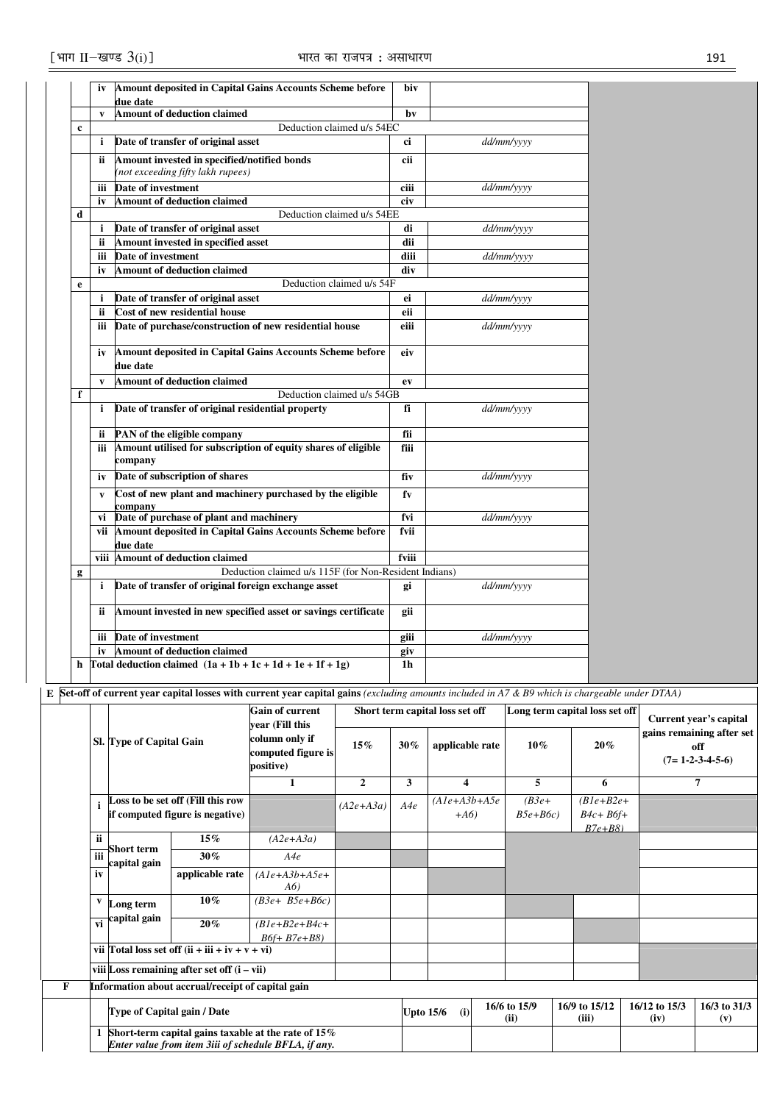|             | iv           | Amount deposited in Capital Gains Accounts Scheme before                         | biv   |            |
|-------------|--------------|----------------------------------------------------------------------------------|-------|------------|
|             | $\mathbf{v}$ | due date<br><b>Amount of deduction claimed</b>                                   | bv    |            |
| $\mathbf c$ |              | Deduction claimed u/s 54EC                                                       |       |            |
|             | i            | Date of transfer of original asset                                               | ci    | dd/mm/yyyy |
|             |              |                                                                                  |       |            |
|             | <b>ii</b>    | Amount invested in specified/notified bonds<br>(not exceeding fifty lakh rupees) | cii   |            |
|             |              |                                                                                  |       |            |
|             | iii          | Date of investment                                                               | ciii  | dd/mm/yyyy |
| d           | iv           | <b>Amount of deduction claimed</b><br>Deduction claimed u/s 54EE                 | civ   |            |
|             |              | Date of transfer of original asset                                               | di    | dd/mm/yyyy |
|             | i<br>ii      | Amount invested in specified asset                                               | dii   |            |
|             |              | Date of investment                                                               | diii  |            |
|             | iii          |                                                                                  |       | dd/mm/yyyy |
|             | iv           | <b>Amount of deduction claimed</b><br>Deduction claimed u/s 54F                  | div   |            |
| e           |              |                                                                                  |       |            |
|             | i            | Date of transfer of original asset                                               | ei    | dd/mm/yyyy |
|             | ii           | Cost of new residential house                                                    | eii   |            |
|             | iii          | Date of purchase/construction of new residential house                           | eiii  | dd/mm/yyyy |
|             |              | Amount deposited in Capital Gains Accounts Scheme before                         |       |            |
|             | iv           | due date                                                                         | eiv   |            |
|             |              |                                                                                  |       |            |
|             | $\mathbf{v}$ | Amount of deduction claimed                                                      | ev    |            |
| f           |              | Deduction claimed u/s 54GB                                                       |       |            |
|             | i            | Date of transfer of original residential property                                | fi    | dd/mm/yyyy |
|             | <b>ii</b>    | PAN of the eligible company                                                      | fii   |            |
|             | iii          | Amount utilised for subscription of equity shares of eligible                    | fiii  |            |
|             |              | company                                                                          |       |            |
|             | iv           | Date of subscription of shares                                                   | fiv   | dd/mm/yyyy |
|             |              |                                                                                  |       |            |
|             | V            | Cost of new plant and machinery purchased by the eligible                        | fv    |            |
|             | vi           | company<br>Date of purchase of plant and machinery                               | fvi   | dd/mm/yyyy |
|             |              | vii Amount deposited in Capital Gains Accounts Scheme before                     | fvii  |            |
|             |              | due date                                                                         |       |            |
|             |              | viii Amount of deduction claimed                                                 | fviii |            |
| g           |              | Deduction claimed u/s 115F (for Non-Resident Indians)                            |       |            |
|             | i            | Date of transfer of original foreign exchange asset                              | gi    | dd/mm/yyyy |
|             |              |                                                                                  |       |            |
|             | 11           | Amount invested in new specified asset or savings certificate                    | gii   |            |
|             |              |                                                                                  |       |            |
|             | iii          | Date of investment                                                               | giii  | dd/mm/yyyy |
|             | iv           | <b>Amount of deduction claimed</b>                                               | giv   |            |
| h           |              | Total deduction claimed $(1a + 1b + 1c + 1d + 1e + 1f + 1g)$                     | 1h    |            |
|             |              |                                                                                  |       |            |

**E Set-off of current year capital losses with current year capital gains** *(excluding amounts included in A7 & B9 which is chargeable under DTAA)*

|    |     |                                                                                                                  |                                                                      | <b>Gain of current</b><br>year (Fill this         |                |                  | Short term capital loss set off |                       | Long term capital loss set off           |                       | Current year's capital                                |
|----|-----|------------------------------------------------------------------------------------------------------------------|----------------------------------------------------------------------|---------------------------------------------------|----------------|------------------|---------------------------------|-----------------------|------------------------------------------|-----------------------|-------------------------------------------------------|
|    |     | Sl. Type of Capital Gain                                                                                         |                                                                      | column only if<br>computed figure is<br>positive) | $15\%$         | $30\%$           | applicable rate                 | $10\%$                | 20%                                      |                       | gains remaining after set<br>off<br>$(7=1-2-3-4-5-6)$ |
|    |     |                                                                                                                  |                                                                      | 1                                                 | $\overline{2}$ | 3                | 4                               | 5                     | 6                                        |                       | 7                                                     |
|    |     |                                                                                                                  | Loss to be set off (Fill this row<br>if computed figure is negative) |                                                   | $(A2e+A3a)$    | A4e              | $(A1e+A3b+A5e$<br>$+A6$         | $(B3e+$<br>$B5e+ B6c$ | $(B1e+B2e+$<br>$B4c + B6f +$<br>$B7e+B8$ |                       |                                                       |
|    | ii. | <b>Short term</b><br>capital gain                                                                                | $15\%$                                                               | $(A2e+A3a)$                                       |                |                  |                                 |                       |                                          |                       |                                                       |
|    |     |                                                                                                                  | $30\%$                                                               | A4e                                               |                |                  |                                 |                       |                                          |                       |                                                       |
| iv |     |                                                                                                                  | applicable rate                                                      | $(A1e+A3b+A5e+$<br>A6)                            |                |                  |                                 |                       |                                          |                       |                                                       |
|    | V   | Long term                                                                                                        | $10\%$                                                               | $(B3e+B5e+B6c)$                                   |                |                  |                                 |                       |                                          |                       |                                                       |
|    |     | $\frac{1}{\nu i}$ capital gain                                                                                   | $20\%$                                                               | $(B1e+B2e+B4c+$<br>$B6f + B7e + B8$               |                |                  |                                 |                       |                                          |                       |                                                       |
|    |     |                                                                                                                  | vii Total loss set off $(ii + iii + iv + v + vi)$                    |                                                   |                |                  |                                 |                       |                                          |                       |                                                       |
|    |     |                                                                                                                  | viii Loss remaining after set off $(i - vii)$                        |                                                   |                |                  |                                 |                       |                                          |                       |                                                       |
|    |     |                                                                                                                  | Information about accrual/receipt of capital gain                    |                                                   |                |                  |                                 |                       |                                          |                       |                                                       |
|    |     |                                                                                                                  | Type of Capital gain / Date                                          |                                                   |                | <b>Upto 15/6</b> | (i)                             | 16/6 to 15/9<br>(ii)  | 16/9 to 15/12<br>(iii)                   | 16/12 to 15/3<br>(iv) | 16/3 to 31/3<br>(v)                                   |
|    |     | 1 Short-term capital gains taxable at the rate of $15\%$<br>Enter value from item 3iii of schedule BFLA, if any. |                                                                      |                                                   |                |                  |                                 |                       |                                          |                       |                                                       |

┓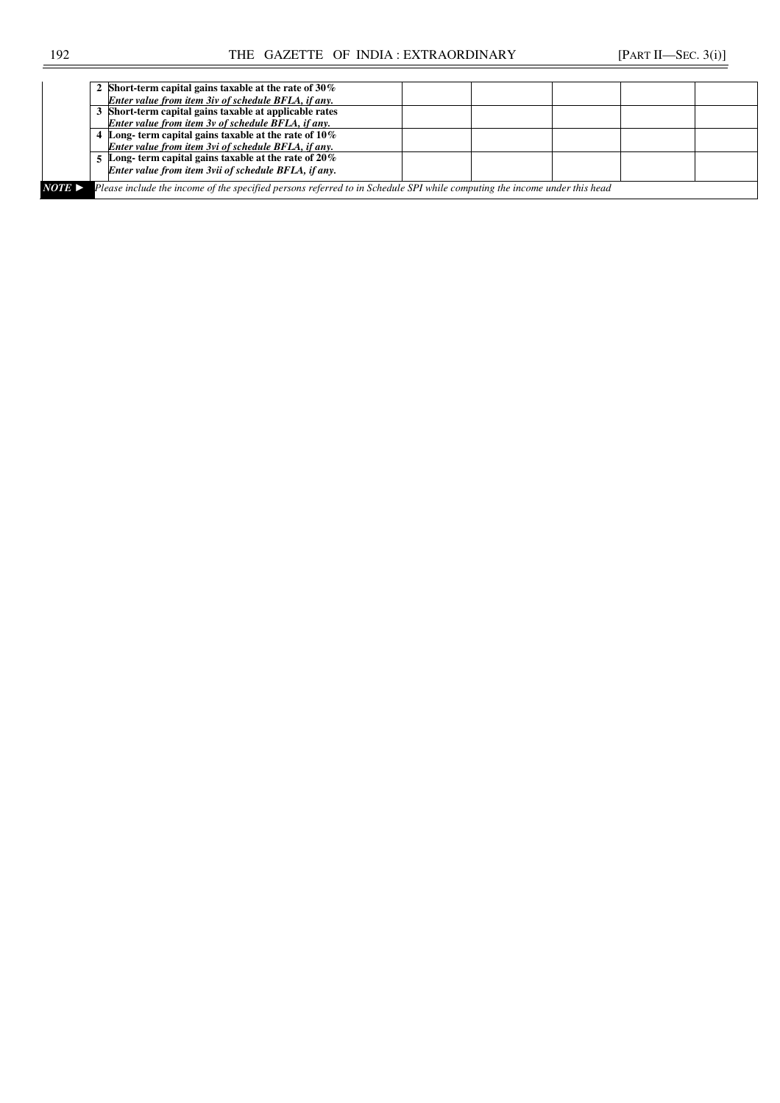|        | 2 Short-term capital gains taxable at the rate of $30\%$                                                                  |  |  |  |
|--------|---------------------------------------------------------------------------------------------------------------------------|--|--|--|
|        | Enter value from item 3iv of schedule BFLA, if any.                                                                       |  |  |  |
|        | 3 Short-term capital gains taxable at applicable rates                                                                    |  |  |  |
|        | Enter value from item 3v of schedule BFLA, if any.                                                                        |  |  |  |
|        | Long-term capital gains taxable at the rate of $10\%$                                                                     |  |  |  |
|        | Enter value from item 3vi of schedule BFLA, if any.                                                                       |  |  |  |
|        | 5 Long-term capital gains taxable at the rate of $20\%$                                                                   |  |  |  |
|        | Enter value from item 3vii of schedule BFLA, if any.                                                                      |  |  |  |
| NOTE ► | Please include the income of the specified persons referred to in Schedule SPI while computing the income under this head |  |  |  |
|        |                                                                                                                           |  |  |  |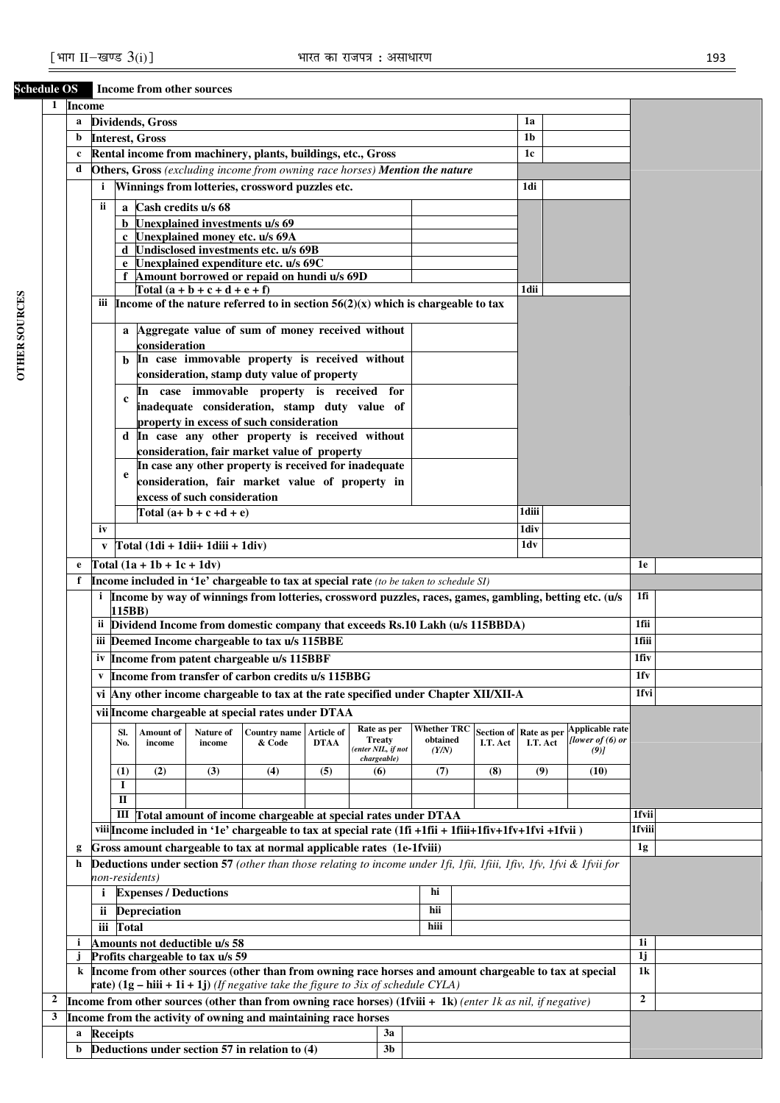# **Schedule OS Income from other sources**

| 1<br><b>Income</b> |                |                                                                                                                    |            |                              |                                  |                                                                                                                            |                    |  |                                   |                                |                        |                         |  |                                            |                      |  |
|--------------------|----------------|--------------------------------------------------------------------------------------------------------------------|------------|------------------------------|----------------------------------|----------------------------------------------------------------------------------------------------------------------------|--------------------|--|-----------------------------------|--------------------------------|------------------------|-------------------------|--|--------------------------------------------|----------------------|--|
|                    | a              |                                                                                                                    |            | <b>Dividends</b> , Gross     |                                  |                                                                                                                            |                    |  |                                   |                                |                        | 1a                      |  |                                            |                      |  |
|                    | b              |                                                                                                                    |            | <b>Interest, Gross</b>       |                                  |                                                                                                                            |                    |  |                                   |                                |                        | 1 <sub>b</sub>          |  |                                            |                      |  |
|                    | $\mathbf c$    |                                                                                                                    |            |                              |                                  | Rental income from machinery, plants, buildings, etc., Gross                                                               |                    |  |                                   |                                |                        | 1c                      |  |                                            |                      |  |
|                    | d              |                                                                                                                    |            |                              |                                  | Others, Gross (excluding income from owning race horses) Mention the nature                                                |                    |  |                                   |                                |                        |                         |  |                                            |                      |  |
|                    |                | $\mathbf{i}$                                                                                                       |            |                              |                                  | Winnings from lotteries, crossword puzzles etc.                                                                            |                    |  |                                   |                                |                        | 1di                     |  |                                            |                      |  |
|                    |                | ii                                                                                                                 |            | a Cash credits u/s 68        |                                  |                                                                                                                            |                    |  |                                   |                                |                        |                         |  |                                            |                      |  |
|                    |                |                                                                                                                    |            |                              |                                  | <b>b</b> Unexplained investments u/s 69                                                                                    |                    |  |                                   |                                |                        |                         |  |                                            |                      |  |
|                    |                |                                                                                                                    |            |                              |                                  | c Unexplained money etc. u/s 69A                                                                                           |                    |  |                                   |                                |                        |                         |  |                                            |                      |  |
|                    |                |                                                                                                                    |            |                              |                                  | d Undisclosed investments etc. u/s 69B                                                                                     |                    |  |                                   |                                |                        |                         |  |                                            |                      |  |
|                    |                |                                                                                                                    |            |                              |                                  | Unexplained expenditure etc. u/s 69C                                                                                       |                    |  |                                   |                                |                        |                         |  |                                            |                      |  |
|                    |                |                                                                                                                    |            |                              | Total $(a + b + c + d + e + f)$  | Amount borrowed or repaid on hundi u/s 69D                                                                                 |                    |  |                                   |                                |                        | 1dii                    |  |                                            |                      |  |
|                    |                |                                                                                                                    |            |                              |                                  | iii Income of the nature referred to in section $56(2)(x)$ which is chargeable to tax                                      |                    |  |                                   |                                |                        |                         |  |                                            |                      |  |
|                    |                |                                                                                                                    |            |                              |                                  |                                                                                                                            |                    |  |                                   |                                |                        |                         |  |                                            |                      |  |
|                    |                |                                                                                                                    |            |                              |                                  | a Aggregate value of sum of money received without                                                                         |                    |  |                                   |                                |                        |                         |  |                                            |                      |  |
|                    |                |                                                                                                                    |            | consideration                |                                  |                                                                                                                            |                    |  |                                   |                                |                        |                         |  |                                            |                      |  |
|                    |                |                                                                                                                    |            |                              |                                  | In case immovable property is received without                                                                             |                    |  |                                   |                                |                        |                         |  |                                            |                      |  |
|                    |                |                                                                                                                    |            |                              |                                  | consideration, stamp duty value of property                                                                                |                    |  |                                   |                                |                        |                         |  |                                            |                      |  |
|                    |                |                                                                                                                    | c          |                              |                                  | In case immovable property is received for                                                                                 |                    |  |                                   |                                |                        |                         |  |                                            |                      |  |
|                    |                |                                                                                                                    |            |                              |                                  | inadequate consideration, stamp duty value of                                                                              |                    |  |                                   |                                |                        |                         |  |                                            |                      |  |
|                    |                |                                                                                                                    |            |                              |                                  | property in excess of such consideration<br>d In case any other property is received without                               |                    |  |                                   |                                |                        |                         |  |                                            |                      |  |
|                    |                |                                                                                                                    |            |                              |                                  | consideration, fair market value of property                                                                               |                    |  |                                   |                                |                        |                         |  |                                            |                      |  |
|                    |                |                                                                                                                    |            |                              |                                  | In case any other property is received for inadequate                                                                      |                    |  |                                   |                                |                        |                         |  |                                            |                      |  |
|                    |                |                                                                                                                    | e          |                              |                                  |                                                                                                                            |                    |  |                                   |                                |                        |                         |  |                                            |                      |  |
|                    |                | consideration, fair market value of property in<br>excess of such consideration                                    |            |                              |                                  |                                                                                                                            |                    |  |                                   |                                |                        |                         |  |                                            |                      |  |
|                    |                | 1diii<br>Total $(a+b+c+d+e)$                                                                                       |            |                              |                                  |                                                                                                                            |                    |  |                                   |                                |                        |                         |  |                                            |                      |  |
|                    |                | iv<br>1div                                                                                                         |            |                              |                                  |                                                                                                                            |                    |  |                                   |                                |                        |                         |  |                                            |                      |  |
|                    |                | $Total (1di + 1dii + 1diii + 1div)$<br>1dv<br>V                                                                    |            |                              |                                  |                                                                                                                            |                    |  |                                   |                                |                        |                         |  |                                            |                      |  |
|                    |                |                                                                                                                    |            |                              |                                  |                                                                                                                            |                    |  |                                   |                                |                        |                         |  |                                            | 1e                   |  |
|                    | e<br>f         |                                                                                                                    |            | Total $(1a + 1b + 1c + 1dv)$ |                                  |                                                                                                                            |                    |  |                                   |                                |                        |                         |  |                                            |                      |  |
|                    |                |                                                                                                                    |            |                              |                                  | Income included in '1e' chargeable to tax at special rate (to be taken to schedule SI)                                     |                    |  |                                   |                                |                        |                         |  |                                            | 1fi                  |  |
|                    |                | i Income by way of winnings from lotteries, crossword puzzles, races, games, gambling, betting etc. (u/s<br>115BB) |            |                              |                                  |                                                                                                                            |                    |  |                                   |                                |                        |                         |  |                                            |                      |  |
|                    |                |                                                                                                                    |            |                              |                                  | ii Dividend Income from domestic company that exceeds Rs.10 Lakh (u/s 115BBDA)                                             |                    |  |                                   |                                |                        |                         |  |                                            | 1fii                 |  |
|                    |                |                                                                                                                    |            |                              |                                  | iii Deemed Income chargeable to tax u/s 115BBE                                                                             |                    |  |                                   |                                |                        |                         |  |                                            | 1fiii                |  |
|                    |                |                                                                                                                    |            |                              |                                  | iv Income from patent chargeable u/s 115BBF                                                                                |                    |  |                                   |                                |                        |                         |  |                                            | 1fiv                 |  |
|                    |                | $\mathbf{v}$                                                                                                       |            |                              |                                  | Income from transfer of carbon credits u/s 115BBG                                                                          |                    |  |                                   |                                |                        |                         |  |                                            | 1fv                  |  |
|                    |                |                                                                                                                    |            |                              |                                  | vi Any other income chargeable to tax at the rate specified under Chapter XII/XII-A                                        |                    |  |                                   |                                |                        |                         |  |                                            | 1fvi                 |  |
|                    |                |                                                                                                                    |            |                              |                                  |                                                                                                                            |                    |  |                                   |                                |                        |                         |  |                                            |                      |  |
|                    |                |                                                                                                                    |            |                              |                                  | vii Income chargeable at special rates under DTAA                                                                          |                    |  |                                   |                                |                        |                         |  |                                            |                      |  |
|                    |                |                                                                                                                    | Sl.<br>No. | Amount of<br>income          | Nature of<br>income              | <b>Country name</b><br>& Code                                                                                              | Article of<br>DTAA |  | Rate as per<br><b>Treaty</b>      | <b>Whether TRC</b><br>obtained | Section of<br>I.T. Act | Rate as per<br>I.T. Act |  | <b>Applicable rate</b><br>[lower of (6) or |                      |  |
|                    |                |                                                                                                                    |            |                              |                                  |                                                                                                                            |                    |  | (enter NIL, if not<br>chargeable) | (Y/N)                          |                        |                         |  | (9)                                        |                      |  |
|                    |                |                                                                                                                    | (1)        | (2)                          | (3)                              | (4)                                                                                                                        | (5)                |  | (6)                               | (7)                            | (8)                    | (9)                     |  | (10)                                       |                      |  |
|                    |                |                                                                                                                    | I          |                              |                                  |                                                                                                                            |                    |  |                                   |                                |                        |                         |  |                                            |                      |  |
|                    |                |                                                                                                                    | П          |                              |                                  |                                                                                                                            |                    |  |                                   |                                |                        |                         |  |                                            |                      |  |
|                    |                |                                                                                                                    |            |                              |                                  | III Total amount of income chargeable at special rates under DTAA                                                          |                    |  |                                   |                                |                        |                         |  |                                            | 1fvii                |  |
|                    |                |                                                                                                                    |            |                              |                                  | viii Income included in '1e' chargeable to tax at special rate (1fi +1fii + 1fiii+1fiv+1fv+1fvi +1fvii)                    |                    |  |                                   |                                |                        |                         |  |                                            | 1fviii               |  |
|                    | g              |                                                                                                                    |            |                              |                                  | Gross amount chargeable to tax at normal applicable rates (1e-1fviii)                                                      |                    |  |                                   |                                |                        |                         |  |                                            | 1g                   |  |
|                    | h              |                                                                                                                    |            |                              |                                  | <b>Deductions under section 57</b> (other than those relating to income under 1fi, 1fii, 1fii, 1fiv, 1fv, 1fvi & 1fvii for |                    |  |                                   |                                |                        |                         |  |                                            |                      |  |
|                    | non-residents) |                                                                                                                    |            |                              |                                  |                                                                                                                            |                    |  |                                   |                                |                        |                         |  |                                            |                      |  |
|                    |                | $\mathbf{i}$                                                                                                       |            | <b>Expenses / Deductions</b> |                                  |                                                                                                                            |                    |  |                                   | hi                             |                        |                         |  |                                            |                      |  |
|                    |                | ii.                                                                                                                |            | <b>Depreciation</b>          |                                  |                                                                                                                            |                    |  |                                   | hii                            |                        |                         |  |                                            |                      |  |
|                    |                | iii                                                                                                                | Total      |                              |                                  |                                                                                                                            |                    |  |                                   | hiii                           |                        |                         |  |                                            |                      |  |
|                    | i              |                                                                                                                    |            |                              | Amounts not deductible u/s 58    |                                                                                                                            |                    |  |                                   |                                |                        |                         |  |                                            | 1i                   |  |
|                    |                |                                                                                                                    |            |                              | Profits chargeable to tax u/s 59 | Income from other sources (other than from owning race horses and amount chargeable to tax at special                      |                    |  |                                   |                                |                        |                         |  |                                            | 1j<br>1 <sub>k</sub> |  |
|                    | k              |                                                                                                                    |            |                              |                                  | <b>rate</b> ) $(1g - hiii + 1i + 1j)$ (If negative take the figure to 3ix of schedule CYLA)                                |                    |  |                                   |                                |                        |                         |  |                                            |                      |  |
|                    |                |                                                                                                                    |            |                              |                                  | Income from other sources (other than from owning race horses) (1fviii + 1k) (enter 1k as nil, if negative)                |                    |  |                                   |                                |                        |                         |  |                                            | $\overline{2}$       |  |
|                    |                |                                                                                                                    |            |                              |                                  | Income from the activity of owning and maintaining race horses                                                             |                    |  |                                   |                                |                        |                         |  |                                            |                      |  |
|                    | a              | <b>Receipts</b>                                                                                                    |            |                              |                                  |                                                                                                                            |                    |  | 3a                                |                                |                        |                         |  |                                            |                      |  |
|                    | b              |                                                                                                                    |            |                              |                                  | Deductions under section 57 in relation to (4)                                                                             |                    |  | 3 <sub>b</sub>                    |                                |                        |                         |  |                                            |                      |  |
|                    |                |                                                                                                                    |            |                              |                                  |                                                                                                                            |                    |  |                                   |                                |                        |                         |  |                                            |                      |  |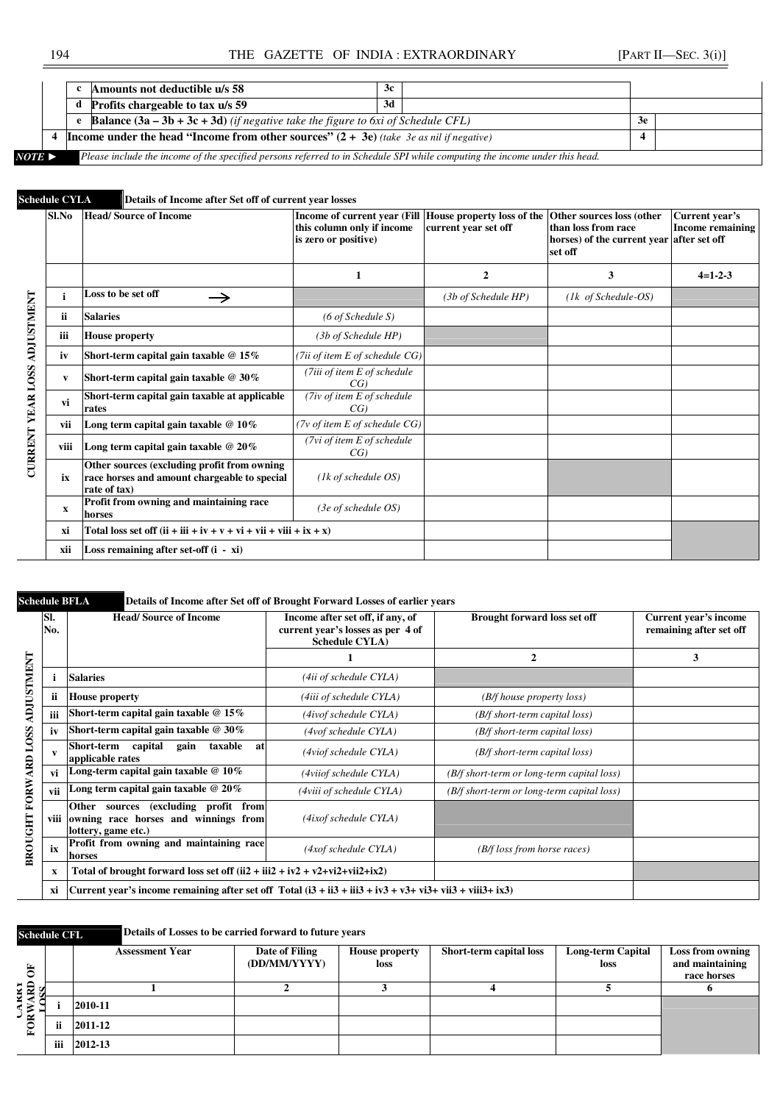|        |  | Amounts not deductible u/s 58                                                                                              | 3с. |    |  |
|--------|--|----------------------------------------------------------------------------------------------------------------------------|-----|----|--|
|        |  | <b>Profits chargeable to tax u/s 59</b>                                                                                    | 3d  |    |  |
|        |  | <b>Balance <math>(3a - 3b + 3c + 3d)</math></b> (if negative take the figure to 6xi of Schedule CFL)                       |     | 3e |  |
|        |  | <b>Income under the head "Income from other sources"</b> $(2 + 3e)$ (take 3e as nil if negative)                           |     |    |  |
| NOTE > |  | Please include the income of the specified persons referred to in Schedule SPI while computing the income under this head. |     |    |  |

# **Schedule CYLA Details of Income after Set off of current year losses**

|                          | Sl.No        | <b>Head/Source of Income</b>                                                                                | Income of current year (Fill House property loss of the<br>this column only if income<br>is zero or positive) | current year set off | Other sources loss (other<br>than loss from race<br>horses) of the current year after set off<br>set off | Current year's<br><b>Income remaining</b> |
|--------------------------|--------------|-------------------------------------------------------------------------------------------------------------|---------------------------------------------------------------------------------------------------------------|----------------------|----------------------------------------------------------------------------------------------------------|-------------------------------------------|
|                          |              |                                                                                                             | 1                                                                                                             | 2                    | 3                                                                                                        | $4=1-2-3$                                 |
|                          | i            | Loss to be set off<br>$\rightarrow$                                                                         |                                                                                                               | (3b of Schedule HP)  | $(lk \text{ of Schedule-OS})$                                                                            |                                           |
|                          | ii           | <b>Salaries</b>                                                                                             | $(6 \text{ of Schedule } S)$                                                                                  |                      |                                                                                                          |                                           |
| ADJUSTMENT               | iii          | <b>House property</b>                                                                                       | (3b of Schedule HP)                                                                                           |                      |                                                                                                          |                                           |
|                          | iv           | Short-term capital gain taxable $@15\%$                                                                     | (7ii of item E of schedule CG)                                                                                |                      |                                                                                                          |                                           |
|                          | V            | Short-term capital gain taxable $@30\%$                                                                     | (7iii of item E of schedule<br>CG)                                                                            |                      |                                                                                                          |                                           |
| <b>CURRENT YEAR LOSS</b> | vi           | Short-term capital gain taxable at applicable<br>rates                                                      | (7iv of item E of schedule<br>CG)                                                                             |                      |                                                                                                          |                                           |
|                          | vii          | Long term capital gain taxable $@10\%$                                                                      | (7v of item E of schedule CG)                                                                                 |                      |                                                                                                          |                                           |
|                          | viii         | Long term capital gain taxable $@20\%$                                                                      | (7vi of item E of schedule<br>CG)                                                                             |                      |                                                                                                          |                                           |
|                          | ix           | Other sources (excluding profit from owning<br>race horses and amount chargeable to special<br>rate of tax) | $(lk$ of schedule OS)                                                                                         |                      |                                                                                                          |                                           |
|                          | $\mathbf{x}$ | Profit from owning and maintaining race<br>horses                                                           | (3e of schedule OS)                                                                                           |                      |                                                                                                          |                                           |
|                          | xi           | Total loss set off $(ii + iii + iv + v + vi + vii + viii + ix + x)$                                         |                                                                                                               |                      |                                                                                                          |                                           |
|                          | xii          | Loss remaining after set-off $(i - xi)$                                                                     |                                                                                                               |                      |                                                                                                          |                                           |

# **Schedule BFLA Details of Income after Set off of Brought Forward Losses of earlier years**

|                             | SI.<br>No. | <b>Head/Source of Income</b>                                                                        | Income after set off, if any, of<br>current year's losses as per 4 of<br><b>Schedule CYLA</b> ) | <b>Brought forward loss set off</b>        | Current year's income<br>remaining after set off |
|-----------------------------|------------|-----------------------------------------------------------------------------------------------------|-------------------------------------------------------------------------------------------------|--------------------------------------------|--------------------------------------------------|
|                             |            |                                                                                                     |                                                                                                 | $\overline{2}$                             | 3                                                |
| <b>TNHMLSTICK</b>           |            | <b>Salaries</b>                                                                                     | (4ii of schedule CYLA)                                                                          |                                            |                                                  |
|                             | ii         | <b>House property</b>                                                                               | (4iii of schedule CYLA)                                                                         | (B/f house property loss)                  |                                                  |
|                             | iii        | Short-term capital gain taxable $@15\%$                                                             | (4ivof schedule CYLA)                                                                           | (B/f short-term capital loss)              |                                                  |
|                             | iv         | Short-term capital gain taxable $@30\%$                                                             | (4vof schedule CYLA)                                                                            | (B/f short-term capital loss)              |                                                  |
|                             | v          | capital<br>Short-term<br>taxable<br>gain<br>at<br>applicable rates                                  | (4viof schedule CYLA)                                                                           | (B/f short-term capital loss)              |                                                  |
|                             | vi         | Long-term capital gain taxable $@10\%$                                                              | (4viiof schedule CYLA)                                                                          | (B/f short-term or long-term capital loss) |                                                  |
|                             | vii        | Long term capital gain taxable $@20\%$                                                              | (4viii of schedule CYLA)                                                                        | (B/f short-term or long-term capital loss) |                                                  |
| <b>BROUGHT FORWARD LOSS</b> | viii       | Other sources (excluding profit from<br>owning race horses and winnings from<br>lottery, game etc.) | (4ixof schedule CYLA)                                                                           |                                            |                                                  |
|                             | ix         | Profit from owning and maintaining race<br>horses                                                   | (4xof schedule CYLA)                                                                            | (B/f loss from horse races)                |                                                  |
|                             | x          | Total of brought forward loss set off $(ii2 + iii2 + iv2 + v2 + vi2 + vi2 + ix2)$                   |                                                                                                 |                                            |                                                  |
|                             | xi         |                                                                                                     |                                                                                                 |                                            |                                                  |

# **Schedule CFL Details of Losses to be carried forward to future years**

| 頁                          |     | <b>Assessment Year</b> | Date of Filing<br>(DD/MM/YYYY) | <b>House property</b><br>loss | Short-term capital loss | <b>Long-term Capital</b><br>loss | Loss from owning<br>and maintaining<br>race horses |
|----------------------------|-----|------------------------|--------------------------------|-------------------------------|-------------------------|----------------------------------|----------------------------------------------------|
| $\ddot{\ddot{\mathbf{z}}}$ |     |                        |                                |                               |                         |                                  |                                                    |
| ು ನ                        |     | 2010-11                |                                |                               |                         |                                  |                                                    |
| ≃                          | ii  | 2011-12                |                                |                               |                         |                                  |                                                    |
|                            | iii | 2012-13                |                                |                               |                         |                                  |                                                    |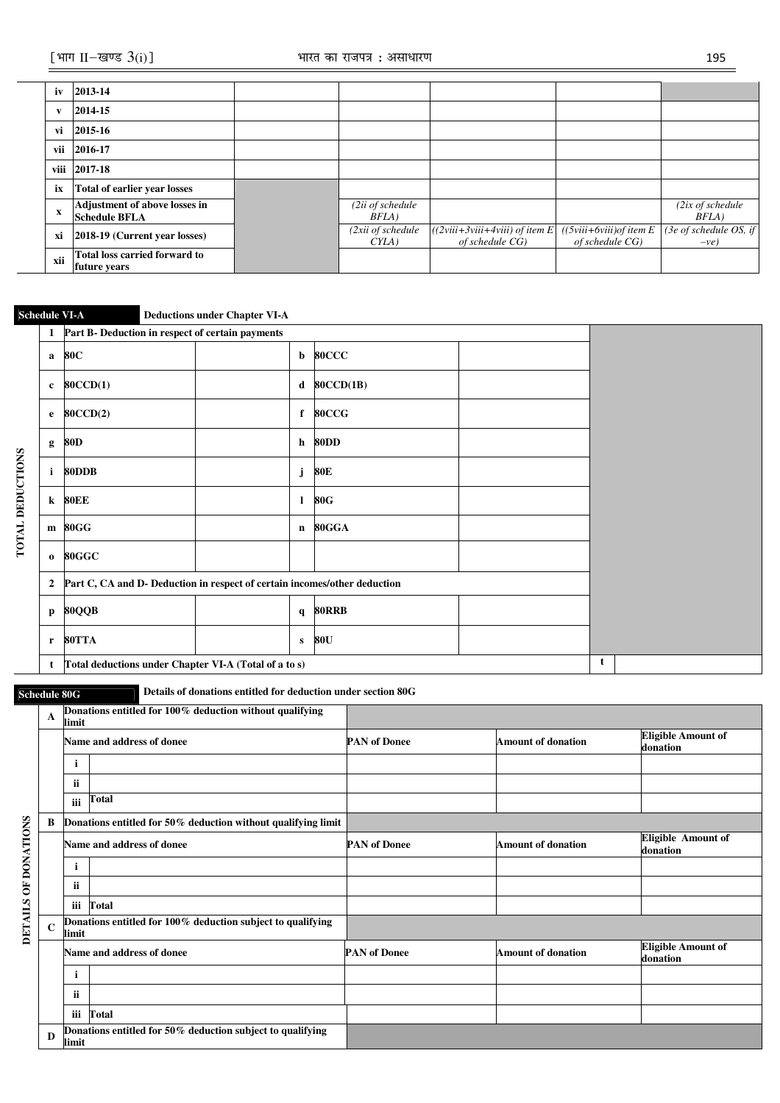| iv           | 2013-14                                                      |                           |                                                     |                                               |                                  |
|--------------|--------------------------------------------------------------|---------------------------|-----------------------------------------------------|-----------------------------------------------|----------------------------------|
| $\mathbf{v}$ | 2014-15                                                      |                           |                                                     |                                               |                                  |
| vi           | 2015-16                                                      |                           |                                                     |                                               |                                  |
| vii          | 2016-17                                                      |                           |                                                     |                                               |                                  |
| viii         | 2017-18                                                      |                           |                                                     |                                               |                                  |
| ix           | Total of earlier year losses                                 |                           |                                                     |                                               |                                  |
| $\mathbf X$  | <b>Adjustment of above losses in</b><br><b>Schedule BFLA</b> | (2ii of schedule<br>BFLA) |                                                     |                                               | $(2ix$ of schedule<br>BFLA)      |
| xi           | 2018-19 (Current year losses)                                | (2xii of schedule<br>CYLA | $((2viii+3viii+4viii)$ of item E<br>of schedule CG) | $((5viii+6viii)$ of item E<br>of schedule CG) | (3e of schedule OS, if<br>$-ve)$ |
| xii          | Total loss carried forward to<br>future years                |                           |                                                     |                                               |                                  |

# **Schedule VI-A Deductions under Chapter VI-A**

|                         | 1              | Part B- Deduction in respect of certain payments                          |  |              |                |   |  |
|-------------------------|----------------|---------------------------------------------------------------------------|--|--------------|----------------|---|--|
|                         | a              | 80C                                                                       |  |              | <b>b</b> 80CCC |   |  |
|                         | $\mathbf c$    | <b>80CCD(1)</b>                                                           |  |              | $d$ 80CCD(1B)  |   |  |
|                         | e              | 80CCD(2)                                                                  |  |              | f 80CCG        |   |  |
|                         | g              | 80D                                                                       |  |              | h 80DD         |   |  |
| <b>TOTAL DEDUCTIONS</b> | i.             | 80DDB                                                                     |  | j            | 80E            |   |  |
|                         | $\bf k$        | 80EE                                                                      |  | $\mathbf{I}$ | <b>80G</b>     |   |  |
|                         |                | m 80GG                                                                    |  |              | n 80GGA        |   |  |
|                         | $\bf o$        | 80GGC                                                                     |  |              |                |   |  |
|                         | $\overline{2}$ | Part C, CA and D- Deduction in respect of certain incomes/other deduction |  |              |                |   |  |
|                         | p              | 80QQB                                                                     |  |              | q 80RRB        |   |  |
|                         | $\mathbf{r}$   | 80TTA                                                                     |  | $\mathbf{s}$ | 80U            |   |  |
|                         | t              | Total deductions under Chapter VI-A (Total of a to s)                     |  |              |                | t |  |

**Schedule 80G Details of donations entitled for deduction under section 80G** 

|                  | A           | limit | Donations entitled for 100% deduction without qualifying      |                     |                           |                                       |
|------------------|-------------|-------|---------------------------------------------------------------|---------------------|---------------------------|---------------------------------------|
|                  |             |       | Name and address of donee                                     | <b>PAN of Donee</b> | <b>Amount of donation</b> | <b>Eligible Amount of</b><br>donation |
|                  |             | i     |                                                               |                     |                           |                                       |
|                  |             | ii.   |                                                               |                     |                           |                                       |
|                  |             | iii   | <b>Total</b>                                                  |                     |                           |                                       |
|                  | B           |       | Donations entitled for 50% deduction without qualifying limit |                     |                           |                                       |
| <b>DONATIONS</b> |             |       | Name and address of donee                                     | <b>PAN of Donee</b> | <b>Amount of donation</b> | <b>Eligible Amount of</b><br>donation |
|                  |             | i.    |                                                               |                     |                           |                                       |
| $\overline{6}$   |             | ii.   |                                                               |                     |                           |                                       |
|                  |             |       | iii Total                                                     |                     |                           |                                       |
| <b>DETAILS</b>   | $\mathbf C$ | limit | Donations entitled for 100% deduction subject to qualifying   |                     |                           |                                       |
|                  |             |       | Name and address of donee                                     | <b>PAN of Donee</b> | <b>Amount of donation</b> | <b>Eligible Amount of</b><br>donation |
|                  |             | j.    |                                                               |                     |                           |                                       |
|                  |             | ii    |                                                               |                     |                           |                                       |
|                  |             |       | iii Total                                                     |                     |                           |                                       |
|                  | D           | limit | Donations entitled for 50% deduction subject to qualifying    |                     |                           |                                       |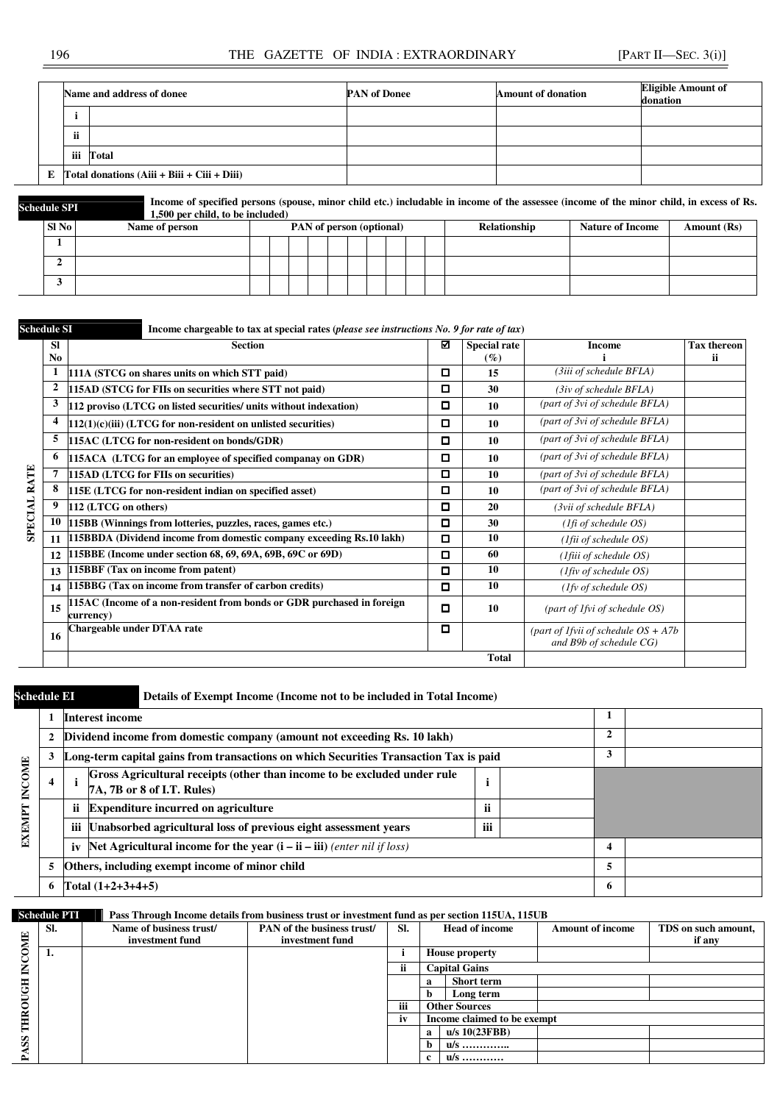## 196 THE GAZETTE OF INDIA : EXTRAORDINARY [PART II—SEC. 3(i)]

|                       | Name and address of donee                             | <b>PAN</b> of Donee<br><b>Amount of donation</b> |  |  |  |
|-----------------------|-------------------------------------------------------|--------------------------------------------------|--|--|--|
|                       |                                                       |                                                  |  |  |  |
| $\bullet\bullet$<br>n |                                                       |                                                  |  |  |  |
| iii                   | Total                                                 |                                                  |  |  |  |
|                       | E $\Gamma$ otal donations (Aiii + Biii + Ciii + Diii) |                                                  |  |  |  |



**Schedule SPI Income of specified persons (spouse, minor child etc.) includable in income of the assessee (income of the minor child, in excess of Rs.**  $\frac{1500 \text{ non child to be included}}{1500 \text{ non child to be included}}$ **1,500 per child, to be included)** 

| SI No | Name of person | PAN of person (optional) |  |  |  |  |  |  | Relationship | <b>Nature of Income</b> | Amount (Rs) |
|-------|----------------|--------------------------|--|--|--|--|--|--|--------------|-------------------------|-------------|
|       |                |                          |  |  |  |  |  |  |              |                         |             |
|       |                |                          |  |  |  |  |  |  |              |                         |             |
|       |                |                          |  |  |  |  |  |  |              |                         |             |

Schedule SI **Income chargeable to tax at special rates (***please see instructions No. 9 for rate of tax***)** 

|                | <b>SI</b><br>N <sub>0</sub> | <b>Section</b>                                                                      | ☑ | <b>Special rate</b><br>$(\%)$ | <b>Income</b>                                                     | <b>Tax thereon</b><br>ii. |
|----------------|-----------------------------|-------------------------------------------------------------------------------------|---|-------------------------------|-------------------------------------------------------------------|---------------------------|
|                | 1                           | 111A (STCG on shares units on which STT paid)                                       | о | 15                            | (3iii of schedule BFLA)                                           |                           |
|                | $\overline{2}$              | 115AD (STCG for FIIs on securities where STT not paid)                              | о | 30                            | $(3iv \text{ of schedule } BFLA)$                                 |                           |
|                | 3                           | 112 proviso (LTCG on listed securities/ units without indexation)                   | о | 10                            | (part of 3vi of schedule BFLA)                                    |                           |
|                |                             | $112(1)(c)(iii)$ (LTCG for non-resident on unlisted securities)                     | о | 10                            | (part of 3vi of schedule BFLA)                                    |                           |
|                | 5                           | 115AC (LTCG for non-resident on bonds/GDR)                                          | О | 10                            | (part of 3vi of schedule BFLA)                                    |                           |
|                | 6                           | 115ACA (LTCG for an employee of specified companay on GDR)                          | О | 10                            | (part of 3vi of schedule BFLA)                                    |                           |
| RATE           |                             | 115AD (LTCG for FIIs on securities)                                                 | о | 10                            | (part of 3vi of schedule BFLA)                                    |                           |
|                | 8                           | 115E (LTCG for non-resident indian on specified asset)                              | О | 10                            | (part of 3vi of schedule BFLA)                                    |                           |
| <b>TVLOBAL</b> | 9                           | 112 (LTCG on others)                                                                | О | 20                            | $(3vii)$ of schedule BFLA)                                        |                           |
|                | 10                          | 115BB (Winnings from lotteries, puzzles, races, games etc.)                         | о | 30                            | $(1fi \text{ of schedule } OS)$                                   |                           |
|                | 11                          | 115BBDA (Dividend income from domestic company exceeding Rs.10 lakh)                | о | 10                            | ( <i>Ifii of schedule OS</i> )                                    |                           |
|                | 12                          | [115BBE (Income under section 68, 69, 69A, 69B, 69C or 69D)                         | о | 60                            | ( <i>Ifiii of schedule OS</i> )                                   |                           |
|                | 13                          | 15BBF (Tax on income from patent)                                                   | О | 10                            | $(1$ fiv of schedule OS)                                          |                           |
|                | 14                          | 115BBG (Tax on income from transfer of carbon credits)                              | о | 10                            | (1fv of schedule OS)                                              |                           |
|                | 15                          | 115AC (Income of a non-resident from bonds or GDR purchased in foreign<br>currency) | О | 10                            | (part of 1 fvi of schedule OS)                                    |                           |
|                | -16                         | Chargeable under DTAA rate                                                          | о |                               | (part of 1 fvii of schedule $OS + A7b$<br>and B9b of schedule CG) |                           |
|                |                             |                                                                                     |   | <b>Total</b>                  |                                                                   |                           |

# **Schedule EI** Details of Exempt Income (Income not to be included in Total Income)

|               |                                                     |                                                           | <b>Interest income</b>                                                                                 |        |              |   |  |
|---------------|-----------------------------------------------------|-----------------------------------------------------------|--------------------------------------------------------------------------------------------------------|--------|--------------|---|--|
|               |                                                     |                                                           | Dividend income from domestic company (amount not exceeding Rs. 10 lakh)                               |        | $\mathbf{2}$ |   |  |
|               |                                                     |                                                           | Long-term capital gains from transactions on which Securities Transaction Tax is paid                  |        | 3            |   |  |
| <b>INCOME</b> | 4                                                   |                                                           | Gross Agricultural receipts (other than income to be excluded under rule<br>7A, 7B or 8 of I.T. Rules) |        |              |   |  |
|               |                                                     | <b>Expenditure incurred on agriculture</b><br><br>n<br>11 |                                                                                                        |        |              |   |  |
| EXEMPT        |                                                     |                                                           | iii Unabsorbed agricultural loss of previous eight assessment years                                    | <br>нi |              |   |  |
|               |                                                     | iv                                                        | Net Agricultural income for the year $(i - ii - iii)$ (enter nil if loss)                              | 4      |              |   |  |
|               | Others, including exempt income of minor child<br>5 |                                                           |                                                                                                        |        |              |   |  |
|               |                                                     |                                                           | Total $(1+2+3+4+5)$                                                                                    |        |              | 6 |  |

#### **Schedule PTI Pass Through Income details from business trust or investment fund as per section 115UA, 115UB**

|                          | SI. | Name of business trust/ | PAN of the business trust/ | SI. |              | <b>Head of income</b>       | <b>Amount of income</b> | TDS on such amount, |
|--------------------------|-----|-------------------------|----------------------------|-----|--------------|-----------------------------|-------------------------|---------------------|
| OME                      |     | investment fund         | investment fund            |     |              |                             |                         | if any              |
|                          | л.  |                         |                            |     |              | <b>House property</b>       |                         |                     |
| $\widetilde{\mathbf{z}}$ |     |                         |                            |     |              | <b>Capital Gains</b>        |                         |                     |
| 품                        |     |                         |                            |     | а            | <b>Short term</b>           |                         |                     |
|                          |     |                         |                            |     | b            | Long term                   |                         |                     |
| Š                        |     |                         |                            | iii |              | <b>Other Sources</b>        |                         |                     |
| THR                      |     |                         |                            | iv  |              | Income claimed to be exempt |                         |                     |
|                          |     |                         |                            |     | $\mathbf{a}$ | $u/s$ 10(23FBB)             |                         |                     |
| $\mathbf{S}$             |     |                         |                            |     | b.           | u/s                         |                         |                     |
| ≏                        |     |                         |                            |     | $\mathbf{r}$ | u/s                         |                         |                     |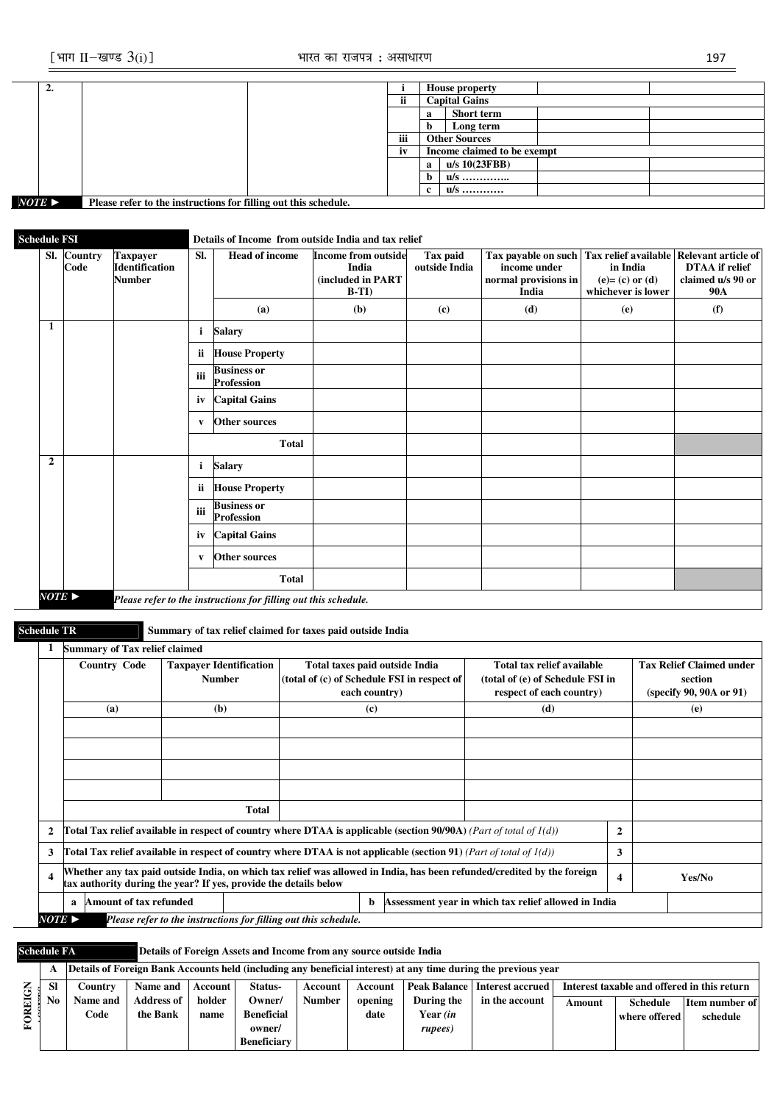| ∸.                    |                                                                 |     |                             | <b>House property</b> |  |  |
|-----------------------|-----------------------------------------------------------------|-----|-----------------------------|-----------------------|--|--|
|                       |                                                                 | ii  |                             | <b>Capital Gains</b>  |  |  |
|                       |                                                                 |     | a                           | <b>Short term</b>     |  |  |
|                       |                                                                 |     | h                           | Long term             |  |  |
|                       |                                                                 | iii |                             | <b>Other Sources</b>  |  |  |
|                       |                                                                 | iv  | Income claimed to be exempt |                       |  |  |
|                       |                                                                 |     | a                           | $u/s$ 10(23FBB)       |  |  |
|                       |                                                                 |     | b                           | u/s                   |  |  |
|                       |                                                                 |     | $\mathbf{r}$                | u/s                   |  |  |
| $NOTE \triangleright$ | Please refer to the instructions for filling out this schedule. |     |                             |                       |  |  |

# **Schedule FSI** Details of Income from outside India and tax relief

|                | Sl. Country<br>Code | <b>Taxpayer</b><br><b>Identification</b><br><b>Number</b> | SI.          | <b>Head of income</b>                   | <b>Income from outside</b><br>India<br>(included in PART<br>$B-TI$ | Tax paid<br>outside India | Tax payable on such   Tax relief available   Relevant article of<br>income under<br>normal provisions in<br>India | in India<br>$(e) = (c)$ or $(d)$<br>whichever is lower | <b>DTAA</b> if relief<br>claimed u/s 90 or<br><b>90A</b> |
|----------------|---------------------|-----------------------------------------------------------|--------------|-----------------------------------------|--------------------------------------------------------------------|---------------------------|-------------------------------------------------------------------------------------------------------------------|--------------------------------------------------------|----------------------------------------------------------|
|                |                     |                                                           |              | (a)                                     | (b)                                                                | (c)                       | (d)                                                                                                               | (e)                                                    | (f)                                                      |
| 1              |                     |                                                           | i.           | <b>Salary</b>                           |                                                                    |                           |                                                                                                                   |                                                        |                                                          |
|                |                     |                                                           | ii           | <b>House Property</b>                   |                                                                    |                           |                                                                                                                   |                                                        |                                                          |
|                |                     |                                                           | iii          | <b>Business or</b><br><b>Profession</b> |                                                                    |                           |                                                                                                                   |                                                        |                                                          |
|                |                     |                                                           | iv           | <b>Capital Gains</b>                    |                                                                    |                           |                                                                                                                   |                                                        |                                                          |
|                |                     |                                                           | V            | <b>Other sources</b>                    |                                                                    |                           |                                                                                                                   |                                                        |                                                          |
|                |                     |                                                           |              | <b>Total</b>                            |                                                                    |                           |                                                                                                                   |                                                        |                                                          |
| $\overline{2}$ |                     |                                                           | i.           | <b>Salary</b>                           |                                                                    |                           |                                                                                                                   |                                                        |                                                          |
|                |                     |                                                           | ii.          | <b>House Property</b>                   |                                                                    |                           |                                                                                                                   |                                                        |                                                          |
|                |                     |                                                           | iii          | <b>Business or</b><br><b>Profession</b> |                                                                    |                           |                                                                                                                   |                                                        |                                                          |
|                |                     |                                                           | iv           | <b>Capital Gains</b>                    |                                                                    |                           |                                                                                                                   |                                                        |                                                          |
|                |                     |                                                           | $\mathbf{v}$ | Other sources                           |                                                                    |                           |                                                                                                                   |                                                        |                                                          |
|                |                     |                                                           |              | <b>Total</b>                            |                                                                    |                           |                                                                                                                   |                                                        |                                                          |

**Schedule TR Summary of tax relief claimed for taxes paid outside India** 

|                                                                                                 |                         | <b>Summary of Tax relief claimed</b>                                                                                                                                                        |                                                                                                                          |   |               |                                                                               |                                                                                            |              |                                                                       |
|-------------------------------------------------------------------------------------------------|-------------------------|---------------------------------------------------------------------------------------------------------------------------------------------------------------------------------------------|--------------------------------------------------------------------------------------------------------------------------|---|---------------|-------------------------------------------------------------------------------|--------------------------------------------------------------------------------------------|--------------|-----------------------------------------------------------------------|
|                                                                                                 |                         | <b>Country Code</b>                                                                                                                                                                         | <b>Taxpayer Identification</b><br><b>Number</b>                                                                          |   | each country) | Total taxes paid outside India<br>(total of (c) of Schedule FSI in respect of | Total tax relief available<br>(total of (e) of Schedule FSI in<br>respect of each country) |              | <b>Tax Relief Claimed under</b><br>section<br>(specify 90, 90A or 91) |
|                                                                                                 |                         | (a)                                                                                                                                                                                         | (b)                                                                                                                      |   | (c)           |                                                                               | (d)                                                                                        |              | (e)                                                                   |
|                                                                                                 |                         |                                                                                                                                                                                             |                                                                                                                          |   |               |                                                                               |                                                                                            |              |                                                                       |
|                                                                                                 |                         |                                                                                                                                                                                             |                                                                                                                          |   |               |                                                                               |                                                                                            |              |                                                                       |
|                                                                                                 |                         |                                                                                                                                                                                             |                                                                                                                          |   |               |                                                                               |                                                                                            |              |                                                                       |
|                                                                                                 |                         |                                                                                                                                                                                             |                                                                                                                          |   |               |                                                                               |                                                                                            |              |                                                                       |
|                                                                                                 |                         |                                                                                                                                                                                             | Total                                                                                                                    |   |               |                                                                               |                                                                                            |              |                                                                       |
|                                                                                                 | $\mathbf{2}$            |                                                                                                                                                                                             | Total Tax relief available in respect of country where DTAA is applicable (section $90/90$ A) (Part of total of $1(d)$ ) |   |               |                                                                               |                                                                                            | $\mathbf{2}$ |                                                                       |
|                                                                                                 | 3                       | Total Tax relief available in respect of country where DTAA is not applicable (section 91) (Part of total of $I(d)$ )                                                                       |                                                                                                                          | 3 |               |                                                                               |                                                                                            |              |                                                                       |
|                                                                                                 | $\overline{\mathbf{4}}$ | Whether any tax paid outside India, on which tax relief was allowed in India, has been refunded/credited by the foreign<br>tax authority during the year? If yes, provide the details below |                                                                                                                          |   |               |                                                                               |                                                                                            | 4            | Yes/No                                                                |
|                                                                                                 |                         | Amount of tax refunded<br>a                                                                                                                                                                 |                                                                                                                          |   | b             |                                                                               | Assessment year in which tax relief allowed in India                                       |              |                                                                       |
| $NOTE$ $\blacktriangleright$<br>Please refer to the instructions for filling out this schedule. |                         |                                                                                                                                                                                             |                                                                                                                          |   |               |                                                                               |                                                                                            |              |                                                                       |

**Schedule FA Details of Foreign Assets and Income from any source outside India** 

|   | A   |                 |                   |         |                    |               |         |            | Details of Foreign Bank Accounts held (including any beneficial interest) at any time during the previous year |                                             |                 |                |
|---|-----|-----------------|-------------------|---------|--------------------|---------------|---------|------------|----------------------------------------------------------------------------------------------------------------|---------------------------------------------|-----------------|----------------|
|   | SI  | Country         | Name and          | Account | Status-            | Account       | Account |            | Peak Balance   Interest accrued                                                                                | Interest taxable and offered in this return |                 |                |
| 급 | No. | <b>Name and</b> | <b>Address of</b> | holder  | Owner/             | <b>Number</b> | opening | During the | in the account                                                                                                 | Amount                                      | <b>Schedule</b> | Item number of |
|   |     | Code            | the Bank          | name    | <b>Beneficial</b>  |               | date    | Year (in   |                                                                                                                |                                             | where offered   | schedule       |
|   |     |                 |                   |         | owner/             |               |         | rupees)    |                                                                                                                |                                             |                 |                |
|   |     |                 |                   |         | <b>Beneficiary</b> |               |         |            |                                                                                                                |                                             |                 |                |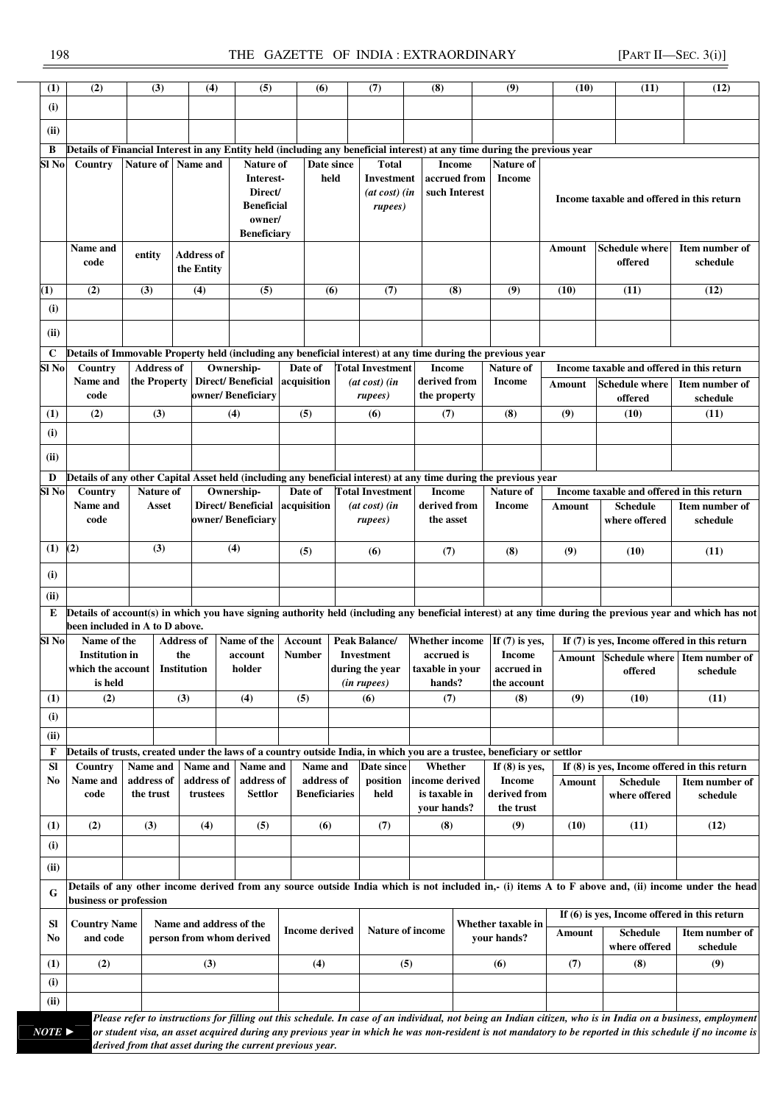# 198 THE GAZETTE OF INDIA : EXTRAORDINARY [PART II—SEC. 3(i)]

| (1)                   | (2)                                                                                                                                                                                                                    | (3)               | (4)                      | (5)                           |                       | (6)                  | (7)                     | (8)                   |               | (9)                                                                                                                       | (10)   | (11)                                           | (12)                                                                                                                                                         |
|-----------------------|------------------------------------------------------------------------------------------------------------------------------------------------------------------------------------------------------------------------|-------------------|--------------------------|-------------------------------|-----------------------|----------------------|-------------------------|-----------------------|---------------|---------------------------------------------------------------------------------------------------------------------------|--------|------------------------------------------------|--------------------------------------------------------------------------------------------------------------------------------------------------------------|
| (i)                   |                                                                                                                                                                                                                        |                   |                          |                               |                       |                      |                         |                       |               |                                                                                                                           |        |                                                |                                                                                                                                                              |
| (ii)<br>в             |                                                                                                                                                                                                                        |                   |                          |                               |                       |                      |                         |                       |               | Details of Financial Interest in any Entity held (including any beneficial interest) at any time during the previous year |        |                                                |                                                                                                                                                              |
|                       |                                                                                                                                                                                                                        |                   |                          |                               |                       |                      |                         |                       |               |                                                                                                                           |        |                                                |                                                                                                                                                              |
| Sl No                 | Country                                                                                                                                                                                                                | Nature of         | Name and                 | Nature of                     |                       | Date since           | <b>Total</b>            |                       | <b>Income</b> | Nature of                                                                                                                 |        |                                                |                                                                                                                                                              |
|                       |                                                                                                                                                                                                                        |                   |                          | Interest-                     |                       | held                 | Investment              |                       | accrued from  | <b>Income</b>                                                                                                             |        |                                                |                                                                                                                                                              |
|                       |                                                                                                                                                                                                                        |                   |                          | Direct/                       |                       |                      | $(at \cos t)$ $(in$     |                       | such Interest |                                                                                                                           |        |                                                |                                                                                                                                                              |
|                       |                                                                                                                                                                                                                        |                   |                          | <b>Beneficial</b>             |                       |                      | rupees)                 |                       |               |                                                                                                                           |        | Income taxable and offered in this return      |                                                                                                                                                              |
|                       |                                                                                                                                                                                                                        |                   |                          | owner/                        |                       |                      |                         |                       |               |                                                                                                                           |        |                                                |                                                                                                                                                              |
|                       |                                                                                                                                                                                                                        |                   |                          | <b>Beneficiary</b>            |                       |                      |                         |                       |               |                                                                                                                           |        |                                                |                                                                                                                                                              |
|                       |                                                                                                                                                                                                                        |                   |                          |                               |                       |                      |                         |                       |               |                                                                                                                           |        |                                                |                                                                                                                                                              |
|                       | Name and                                                                                                                                                                                                               | entity            | Address of               |                               |                       |                      |                         |                       |               |                                                                                                                           | Amount | <b>Schedule where</b>                          | Item number of                                                                                                                                               |
|                       | code                                                                                                                                                                                                                   |                   | the Entity               |                               |                       |                      |                         |                       |               |                                                                                                                           |        | offered                                        | schedule                                                                                                                                                     |
|                       |                                                                                                                                                                                                                        |                   |                          |                               |                       |                      |                         |                       |               |                                                                                                                           |        |                                                |                                                                                                                                                              |
| $\bf(1)$              | (2)                                                                                                                                                                                                                    | (3)               | (4)                      | (5)                           |                       | (6)                  | (7)                     |                       | (8)           | (9)                                                                                                                       | (10)   | (11)                                           | (12)                                                                                                                                                         |
| (i)                   |                                                                                                                                                                                                                        |                   |                          |                               |                       |                      |                         |                       |               |                                                                                                                           |        |                                                |                                                                                                                                                              |
|                       |                                                                                                                                                                                                                        |                   |                          |                               |                       |                      |                         |                       |               |                                                                                                                           |        |                                                |                                                                                                                                                              |
| (ii)                  |                                                                                                                                                                                                                        |                   |                          |                               |                       |                      |                         |                       |               |                                                                                                                           |        |                                                |                                                                                                                                                              |
|                       |                                                                                                                                                                                                                        |                   |                          |                               |                       |                      |                         |                       |               |                                                                                                                           |        |                                                |                                                                                                                                                              |
| C                     |                                                                                                                                                                                                                        |                   |                          |                               |                       |                      |                         |                       |               | Details of Immovable Property held (including any beneficial interest) at any time during the previous year               |        |                                                |                                                                                                                                                              |
| Sl No                 | Country                                                                                                                                                                                                                | <b>Address of</b> |                          | Ownership-                    | Date of               |                      | <b>Total Investment</b> | <b>Income</b>         |               | <b>Nature of</b>                                                                                                          |        | Income taxable and offered in this return      |                                                                                                                                                              |
|                       | Name and                                                                                                                                                                                                               | the Property      |                          | Direct/Beneficial acquisition |                       |                      | $(at \cos t)$ (in       | derived from          |               | <b>Income</b>                                                                                                             |        | <b>Schedule where</b>                          | Item number of                                                                                                                                               |
|                       | code                                                                                                                                                                                                                   |                   |                          | owner/ Beneficiary            |                       |                      | rupees)                 | the property          |               |                                                                                                                           | Amount |                                                |                                                                                                                                                              |
|                       |                                                                                                                                                                                                                        |                   |                          |                               |                       |                      |                         |                       |               |                                                                                                                           |        | offered                                        | schedule                                                                                                                                                     |
| (1)                   | (2)                                                                                                                                                                                                                    | (3)               |                          | (4)                           | (5)                   |                      | (6)                     | (7)                   |               | (8)                                                                                                                       | (9)    | (10)                                           | (11)                                                                                                                                                         |
| (i)                   |                                                                                                                                                                                                                        |                   |                          |                               |                       |                      |                         |                       |               |                                                                                                                           |        |                                                |                                                                                                                                                              |
|                       |                                                                                                                                                                                                                        |                   |                          |                               |                       |                      |                         |                       |               |                                                                                                                           |        |                                                |                                                                                                                                                              |
| (ii)                  |                                                                                                                                                                                                                        |                   |                          |                               |                       |                      |                         |                       |               |                                                                                                                           |        |                                                |                                                                                                                                                              |
|                       |                                                                                                                                                                                                                        |                   |                          |                               |                       |                      |                         |                       |               |                                                                                                                           |        |                                                |                                                                                                                                                              |
| D                     |                                                                                                                                                                                                                        |                   |                          |                               |                       |                      |                         |                       |               | Details of any other Capital Asset held (including any beneficial interest) at any time during the previous year          |        |                                                |                                                                                                                                                              |
| Sl No                 | Country                                                                                                                                                                                                                | <b>Nature of</b>  |                          | Ownership-                    | Date of               |                      | <b>Total Investment</b> | <b>Income</b>         |               | Nature of                                                                                                                 |        | Income taxable and offered in this return      |                                                                                                                                                              |
|                       | Name and                                                                                                                                                                                                               | Asset             |                          | <b>Direct/Beneficial</b>      | acquisition           |                      | (at cost) (in           | derived from          |               | Income                                                                                                                    | Amount | <b>Schedule</b>                                | Item number of                                                                                                                                               |
|                       | code                                                                                                                                                                                                                   |                   |                          | owner/Beneficiary             |                       |                      | rupees)                 | the asset             |               |                                                                                                                           |        | where offered                                  | schedule                                                                                                                                                     |
|                       |                                                                                                                                                                                                                        |                   |                          |                               |                       |                      |                         |                       |               |                                                                                                                           |        |                                                |                                                                                                                                                              |
| (1)                   | (2)                                                                                                                                                                                                                    | (3)               |                          | (4)                           |                       |                      |                         |                       |               |                                                                                                                           |        |                                                |                                                                                                                                                              |
|                       |                                                                                                                                                                                                                        |                   |                          |                               | (5)                   |                      | (6)                     | (7)                   |               | (8)                                                                                                                       | (9)    | (10)                                           | (11)                                                                                                                                                         |
|                       |                                                                                                                                                                                                                        |                   |                          |                               |                       |                      |                         |                       |               |                                                                                                                           |        |                                                |                                                                                                                                                              |
| (i)                   |                                                                                                                                                                                                                        |                   |                          |                               |                       |                      |                         |                       |               |                                                                                                                           |        |                                                |                                                                                                                                                              |
| (ii)                  |                                                                                                                                                                                                                        |                   |                          |                               |                       |                      |                         |                       |               |                                                                                                                           |        |                                                |                                                                                                                                                              |
| E                     |                                                                                                                                                                                                                        |                   |                          |                               |                       |                      |                         |                       |               |                                                                                                                           |        |                                                | Details of account(s) in which you have signing authority held (including any beneficial interest) at any time during the previous year and which has not    |
|                       | been included in A to D above.                                                                                                                                                                                         |                   |                          |                               |                       |                      |                         |                       |               |                                                                                                                           |        |                                                |                                                                                                                                                              |
|                       |                                                                                                                                                                                                                        |                   |                          |                               |                       |                      |                         |                       |               |                                                                                                                           |        |                                                |                                                                                                                                                              |
| Sl No                 | Name of the                                                                                                                                                                                                            |                   | <b>Address of</b>        | Name of the                   | Account               |                      | <b>Peak Balance/</b>    | <b>Whether income</b> |               | If $(7)$ is yes,                                                                                                          |        | If (7) is yes, Income offered in this return   |                                                                                                                                                              |
|                       | <b>Institution</b> in                                                                                                                                                                                                  |                   | the                      | account                       | <b>Number</b>         |                      | Investment              | accrued is            |               | <b>Income</b>                                                                                                             |        |                                                | Amount Schedule where Item number of                                                                                                                         |
|                       | which the account                                                                                                                                                                                                      |                   | Institution              | holder                        |                       |                      | during the year         | taxable in your       |               | accrued in                                                                                                                |        | offered                                        | schedule                                                                                                                                                     |
|                       | is held                                                                                                                                                                                                                |                   |                          |                               |                       |                      | (in rupees)             | hands?                |               | the account                                                                                                               |        |                                                |                                                                                                                                                              |
| (1)                   | (2)                                                                                                                                                                                                                    |                   | (3)                      | (4)                           | (5)                   |                      | (6)                     | (7)                   |               | (8)                                                                                                                       | (9)    | (10)                                           | (11)                                                                                                                                                         |
|                       |                                                                                                                                                                                                                        |                   |                          |                               |                       |                      |                         |                       |               |                                                                                                                           |        |                                                |                                                                                                                                                              |
| (i)                   |                                                                                                                                                                                                                        |                   |                          |                               |                       |                      |                         |                       |               |                                                                                                                           |        |                                                |                                                                                                                                                              |
| (ii)                  |                                                                                                                                                                                                                        |                   |                          |                               |                       |                      |                         |                       |               |                                                                                                                           |        |                                                |                                                                                                                                                              |
| F                     |                                                                                                                                                                                                                        |                   |                          |                               |                       |                      |                         |                       |               | Details of trusts, created under the laws of a country outside India, in which you are a trustee, beneficiary or settlor  |        |                                                |                                                                                                                                                              |
| <b>SI</b>             | Country                                                                                                                                                                                                                | Name and          | Name and                 | Name and                      |                       | Name and             | Date since              | Whether               |               | If $(8)$ is yes,                                                                                                          |        | If $(8)$ is yes, Income offered in this return |                                                                                                                                                              |
| No                    | Name and                                                                                                                                                                                                               | address of        | address of               | address of                    |                       | address of           | position                | income derived        |               | <b>Income</b>                                                                                                             |        |                                                |                                                                                                                                                              |
|                       |                                                                                                                                                                                                                        |                   |                          |                               |                       |                      |                         |                       |               |                                                                                                                           | Amount | <b>Schedule</b>                                | Item number of                                                                                                                                               |
|                       | code                                                                                                                                                                                                                   | the trust         | trustees                 | <b>Settlor</b>                |                       | <b>Beneficiaries</b> | held                    | is taxable in         |               | derived from                                                                                                              |        | where offered                                  | schedule                                                                                                                                                     |
|                       |                                                                                                                                                                                                                        |                   |                          |                               |                       |                      |                         | your hands?           |               | the trust                                                                                                                 |        |                                                |                                                                                                                                                              |
| (1)                   | (2)                                                                                                                                                                                                                    | (3)               | (4)                      | (5)                           |                       | (6)                  | (7)                     | (8)                   |               | (9)                                                                                                                       | (10)   | (11)                                           | (12)                                                                                                                                                         |
| (i)                   |                                                                                                                                                                                                                        |                   |                          |                               |                       |                      |                         |                       |               |                                                                                                                           |        |                                                |                                                                                                                                                              |
|                       |                                                                                                                                                                                                                        |                   |                          |                               |                       |                      |                         |                       |               |                                                                                                                           |        |                                                |                                                                                                                                                              |
| (ii)                  |                                                                                                                                                                                                                        |                   |                          |                               |                       |                      |                         |                       |               |                                                                                                                           |        |                                                |                                                                                                                                                              |
|                       |                                                                                                                                                                                                                        |                   |                          |                               |                       |                      |                         |                       |               |                                                                                                                           |        |                                                |                                                                                                                                                              |
| G                     |                                                                                                                                                                                                                        |                   |                          |                               |                       |                      |                         |                       |               |                                                                                                                           |        |                                                | Details of any other income derived from any source outside India which is not included in,- (i) items A to F above and, (ii) income under the head          |
|                       | business or profession                                                                                                                                                                                                 |                   |                          |                               |                       |                      |                         |                       |               |                                                                                                                           |        |                                                |                                                                                                                                                              |
|                       |                                                                                                                                                                                                                        |                   |                          |                               |                       |                      |                         |                       |               |                                                                                                                           |        | If (6) is yes, Income offered in this return   |                                                                                                                                                              |
| Sl                    | <b>Country Name</b>                                                                                                                                                                                                    |                   | Name and address of the  |                               | <b>Income derived</b> |                      | <b>Nature of income</b> |                       |               | Whether taxable in                                                                                                        | Amount | <b>Schedule</b>                                | Item number of                                                                                                                                               |
| No                    | and code                                                                                                                                                                                                               |                   | person from whom derived |                               |                       |                      |                         |                       |               | your hands?                                                                                                               |        | where offered                                  | schedule                                                                                                                                                     |
|                       |                                                                                                                                                                                                                        |                   |                          |                               |                       |                      |                         |                       |               |                                                                                                                           |        |                                                |                                                                                                                                                              |
| (1)                   | (2)                                                                                                                                                                                                                    |                   | (3)                      |                               | (4)                   |                      |                         | (5)                   |               | (6)                                                                                                                       | (7)    | (8)                                            | (9)                                                                                                                                                          |
| (i)                   |                                                                                                                                                                                                                        |                   |                          |                               |                       |                      |                         |                       |               |                                                                                                                           |        |                                                |                                                                                                                                                              |
|                       |                                                                                                                                                                                                                        |                   |                          |                               |                       |                      |                         |                       |               |                                                                                                                           |        |                                                |                                                                                                                                                              |
| (ii)                  |                                                                                                                                                                                                                        |                   |                          |                               |                       |                      |                         |                       |               |                                                                                                                           |        |                                                |                                                                                                                                                              |
|                       |                                                                                                                                                                                                                        |                   |                          |                               |                       |                      |                         |                       |               |                                                                                                                           |        |                                                | Please refer to instructions for filling out this schedule. In case of an individual, not being an Indian citizen, who is in India on a business, employment |
| $NOTE \triangleright$ |                                                                                                                                                                                                                        |                   |                          |                               |                       |                      |                         |                       |               |                                                                                                                           |        |                                                |                                                                                                                                                              |
|                       | or student visa, an asset acquired during any previous year in which he was non-resident is not mandatory to be reported in this schedule if no income is<br>derived from that asset during the current previous year. |                   |                          |                               |                       |                      |                         |                       |               |                                                                                                                           |        |                                                |                                                                                                                                                              |